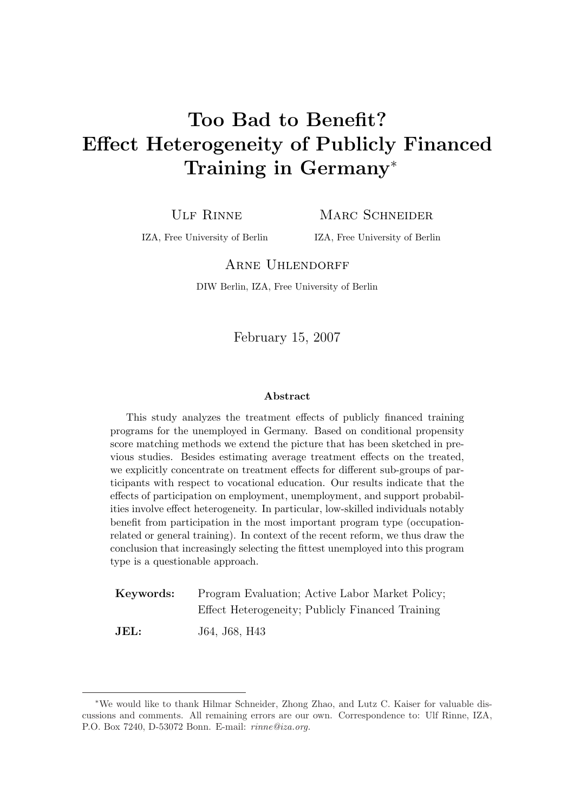# Too Bad to Benefit? Effect Heterogeneity of Publicly Financed Training in Germany<sup>∗</sup>

ULF RINNE MARC SCHNEIDER

IZA, Free University of Berlin IZA, Free University of Berlin

#### ARNE UHLENDORFF

DIW Berlin, IZA, Free University of Berlin

February 15, 2007

#### Abstract

This study analyzes the treatment effects of publicly financed training programs for the unemployed in Germany. Based on conditional propensity score matching methods we extend the picture that has been sketched in previous studies. Besides estimating average treatment effects on the treated, we explicitly concentrate on treatment effects for different sub-groups of participants with respect to vocational education. Our results indicate that the effects of participation on employment, unemployment, and support probabilities involve effect heterogeneity. In particular, low-skilled individuals notably benefit from participation in the most important program type (occupationrelated or general training). In context of the recent reform, we thus draw the conclusion that increasingly selecting the fittest unemployed into this program type is a questionable approach.

| Keywords: | Program Evaluation; Active Labor Market Policy;  |
|-----------|--------------------------------------------------|
|           | Effect Heterogeneity; Publicly Financed Training |
| JEL:      | J64, J68, H43                                    |

<sup>∗</sup>We would like to thank Hilmar Schneider, Zhong Zhao, and Lutz C. Kaiser for valuable discussions and comments. All remaining errors are our own. Correspondence to: Ulf Rinne, IZA, P.O. Box 7240, D-53072 Bonn. E-mail: rinne@iza.org.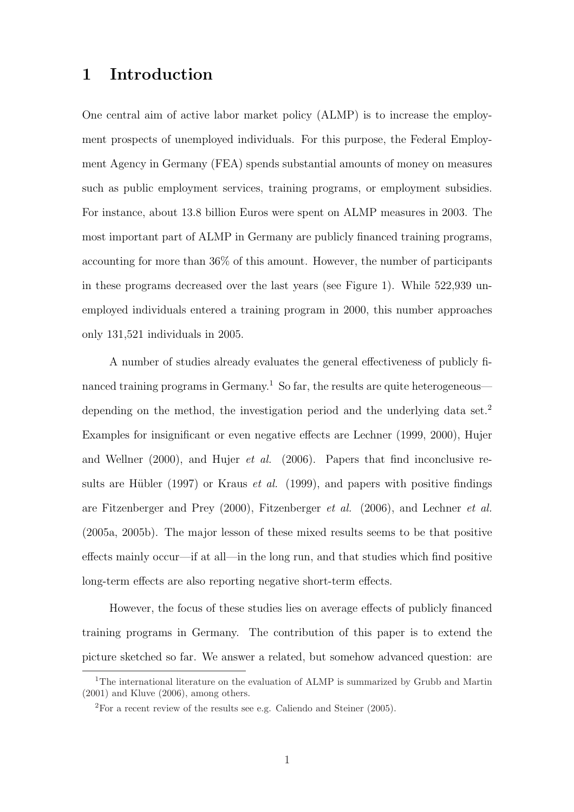### 1 Introduction

One central aim of active labor market policy (ALMP) is to increase the employment prospects of unemployed individuals. For this purpose, the Federal Employment Agency in Germany (FEA) spends substantial amounts of money on measures such as public employment services, training programs, or employment subsidies. For instance, about 13.8 billion Euros were spent on ALMP measures in 2003. The most important part of ALMP in Germany are publicly financed training programs, accounting for more than 36% of this amount. However, the number of participants in these programs decreased over the last years (see Figure 1). While 522,939 unemployed individuals entered a training program in 2000, this number approaches only 131,521 individuals in 2005.

A number of studies already evaluates the general effectiveness of publicly financed training programs in Germany.<sup>1</sup> So far, the results are quite heterogeneous depending on the method, the investigation period and the underlying data set.<sup>2</sup> Examples for insignificant or even negative effects are Lechner (1999, 2000), Hujer and Wellner (2000), and Hujer *et al.* (2006). Papers that find inconclusive results are Hübler (1997) or Kraus *et al.* (1999), and papers with positive findings are Fitzenberger and Prey (2000), Fitzenberger et al. (2006), and Lechner et al. (2005a, 2005b). The major lesson of these mixed results seems to be that positive effects mainly occur—if at all—in the long run, and that studies which find positive long-term effects are also reporting negative short-term effects.

However, the focus of these studies lies on average effects of publicly financed training programs in Germany. The contribution of this paper is to extend the picture sketched so far. We answer a related, but somehow advanced question: are

<sup>&</sup>lt;sup>1</sup>The international literature on the evaluation of ALMP is summarized by Grubb and Martin (2001) and Kluve (2006), among others.

 ${}^{2}$ For a recent review of the results see e.g. Caliendo and Steiner (2005).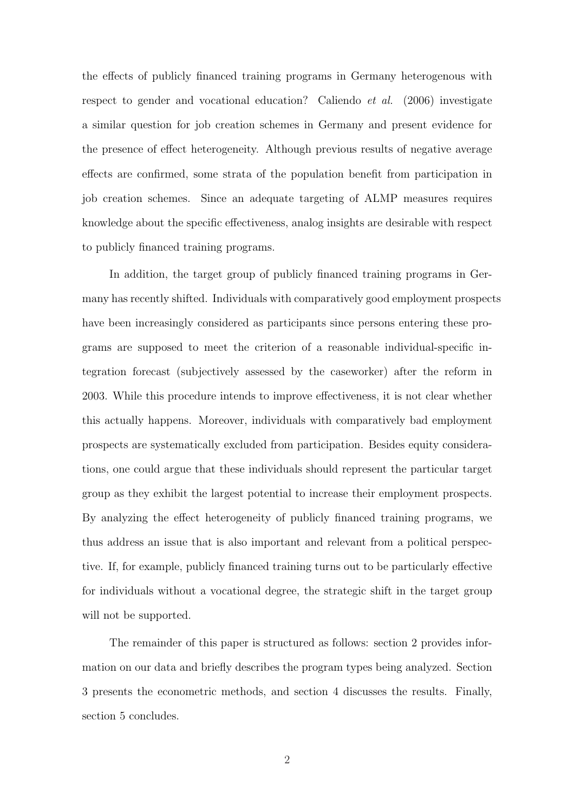the effects of publicly financed training programs in Germany heterogenous with respect to gender and vocational education? Caliendo *et al.* (2006) investigate a similar question for job creation schemes in Germany and present evidence for the presence of effect heterogeneity. Although previous results of negative average effects are confirmed, some strata of the population benefit from participation in job creation schemes. Since an adequate targeting of ALMP measures requires knowledge about the specific effectiveness, analog insights are desirable with respect to publicly financed training programs.

In addition, the target group of publicly financed training programs in Germany has recently shifted. Individuals with comparatively good employment prospects have been increasingly considered as participants since persons entering these programs are supposed to meet the criterion of a reasonable individual-specific integration forecast (subjectively assessed by the caseworker) after the reform in 2003. While this procedure intends to improve effectiveness, it is not clear whether this actually happens. Moreover, individuals with comparatively bad employment prospects are systematically excluded from participation. Besides equity considerations, one could argue that these individuals should represent the particular target group as they exhibit the largest potential to increase their employment prospects. By analyzing the effect heterogeneity of publicly financed training programs, we thus address an issue that is also important and relevant from a political perspective. If, for example, publicly financed training turns out to be particularly effective for individuals without a vocational degree, the strategic shift in the target group will not be supported.

The remainder of this paper is structured as follows: section 2 provides information on our data and briefly describes the program types being analyzed. Section 3 presents the econometric methods, and section 4 discusses the results. Finally, section 5 concludes.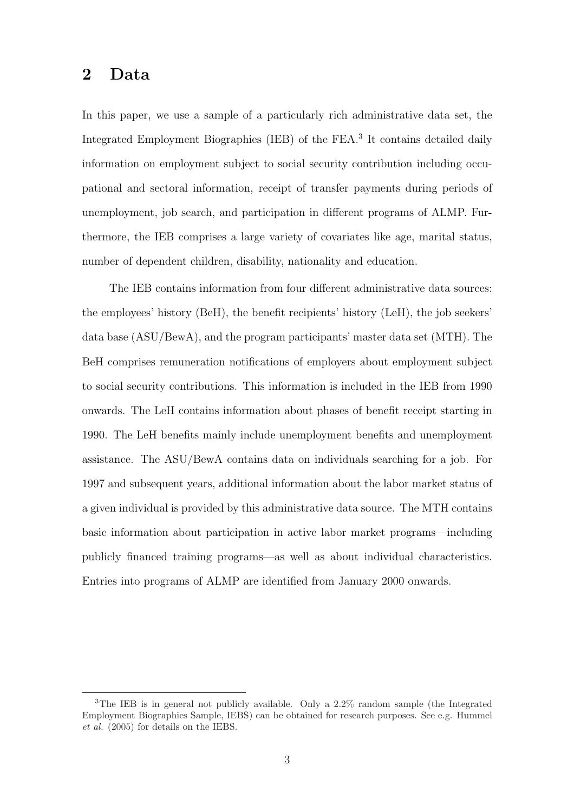#### 2 Data

In this paper, we use a sample of a particularly rich administrative data set, the Integrated Employment Biographies (IEB) of the FEA.<sup>3</sup> It contains detailed daily information on employment subject to social security contribution including occupational and sectoral information, receipt of transfer payments during periods of unemployment, job search, and participation in different programs of ALMP. Furthermore, the IEB comprises a large variety of covariates like age, marital status, number of dependent children, disability, nationality and education.

The IEB contains information from four different administrative data sources: the employees' history (BeH), the benefit recipients' history (LeH), the job seekers' data base (ASU/BewA), and the program participants' master data set (MTH). The BeH comprises remuneration notifications of employers about employment subject to social security contributions. This information is included in the IEB from 1990 onwards. The LeH contains information about phases of benefit receipt starting in 1990. The LeH benefits mainly include unemployment benefits and unemployment assistance. The ASU/BewA contains data on individuals searching for a job. For 1997 and subsequent years, additional information about the labor market status of a given individual is provided by this administrative data source. The MTH contains basic information about participation in active labor market programs—including publicly financed training programs—as well as about individual characteristics. Entries into programs of ALMP are identified from January 2000 onwards.

<sup>&</sup>lt;sup>3</sup>The IEB is in general not publicly available. Only a 2.2% random sample (the Integrated Employment Biographies Sample, IEBS) can be obtained for research purposes. See e.g. Hummel et al. (2005) for details on the IEBS.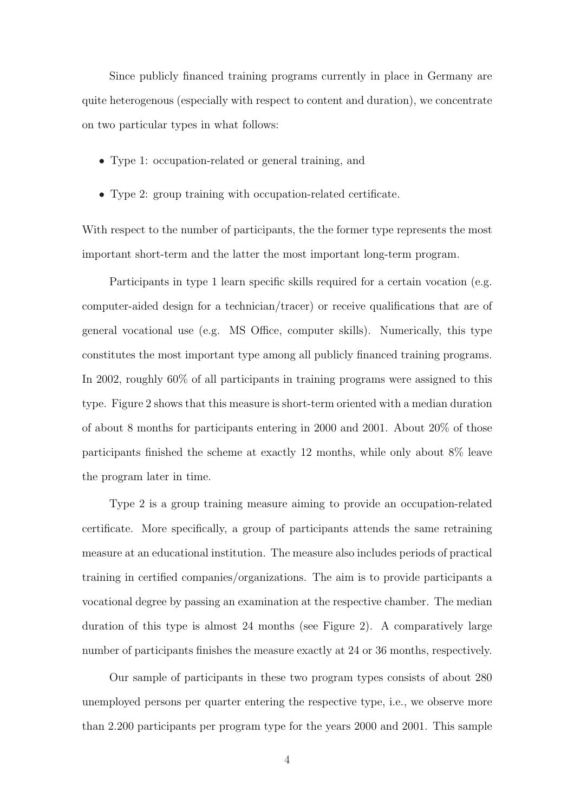Since publicly financed training programs currently in place in Germany are quite heterogenous (especially with respect to content and duration), we concentrate on two particular types in what follows:

- Type 1: occupation-related or general training, and
- Type 2: group training with occupation-related certificate.

With respect to the number of participants, the the former type represents the most important short-term and the latter the most important long-term program.

Participants in type 1 learn specific skills required for a certain vocation (e.g. computer-aided design for a technician/tracer) or receive qualifications that are of general vocational use (e.g. MS Office, computer skills). Numerically, this type constitutes the most important type among all publicly financed training programs. In 2002, roughly 60% of all participants in training programs were assigned to this type. Figure 2 shows that this measure is short-term oriented with a median duration of about 8 months for participants entering in 2000 and 2001. About 20% of those participants finished the scheme at exactly 12 months, while only about 8% leave the program later in time.

Type 2 is a group training measure aiming to provide an occupation-related certificate. More specifically, a group of participants attends the same retraining measure at an educational institution. The measure also includes periods of practical training in certified companies/organizations. The aim is to provide participants a vocational degree by passing an examination at the respective chamber. The median duration of this type is almost 24 months (see Figure 2). A comparatively large number of participants finishes the measure exactly at 24 or 36 months, respectively.

Our sample of participants in these two program types consists of about 280 unemployed persons per quarter entering the respective type, i.e., we observe more than 2.200 participants per program type for the years 2000 and 2001. This sample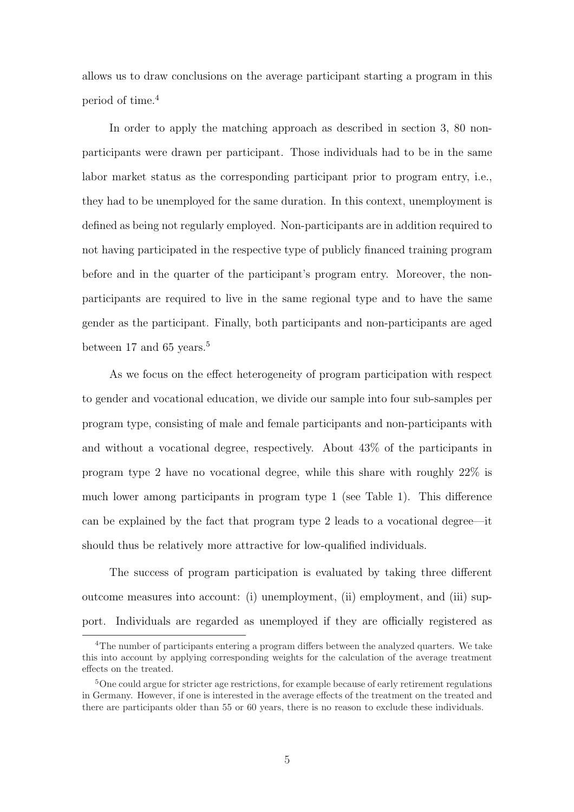allows us to draw conclusions on the average participant starting a program in this period of time.<sup>4</sup>

In order to apply the matching approach as described in section 3, 80 nonparticipants were drawn per participant. Those individuals had to be in the same labor market status as the corresponding participant prior to program entry, i.e., they had to be unemployed for the same duration. In this context, unemployment is defined as being not regularly employed. Non-participants are in addition required to not having participated in the respective type of publicly financed training program before and in the quarter of the participant's program entry. Moreover, the nonparticipants are required to live in the same regional type and to have the same gender as the participant. Finally, both participants and non-participants are aged between 17 and 65 years.<sup>5</sup>

As we focus on the effect heterogeneity of program participation with respect to gender and vocational education, we divide our sample into four sub-samples per program type, consisting of male and female participants and non-participants with and without a vocational degree, respectively. About 43% of the participants in program type 2 have no vocational degree, while this share with roughly 22% is much lower among participants in program type 1 (see Table 1). This difference can be explained by the fact that program type 2 leads to a vocational degree—it should thus be relatively more attractive for low-qualified individuals.

The success of program participation is evaluated by taking three different outcome measures into account: (i) unemployment, (ii) employment, and (iii) support. Individuals are regarded as unemployed if they are officially registered as

<sup>4</sup>The number of participants entering a program differs between the analyzed quarters. We take this into account by applying corresponding weights for the calculation of the average treatment effects on the treated.

<sup>&</sup>lt;sup>5</sup>One could argue for stricter age restrictions, for example because of early retirement regulations in Germany. However, if one is interested in the average effects of the treatment on the treated and there are participants older than 55 or 60 years, there is no reason to exclude these individuals.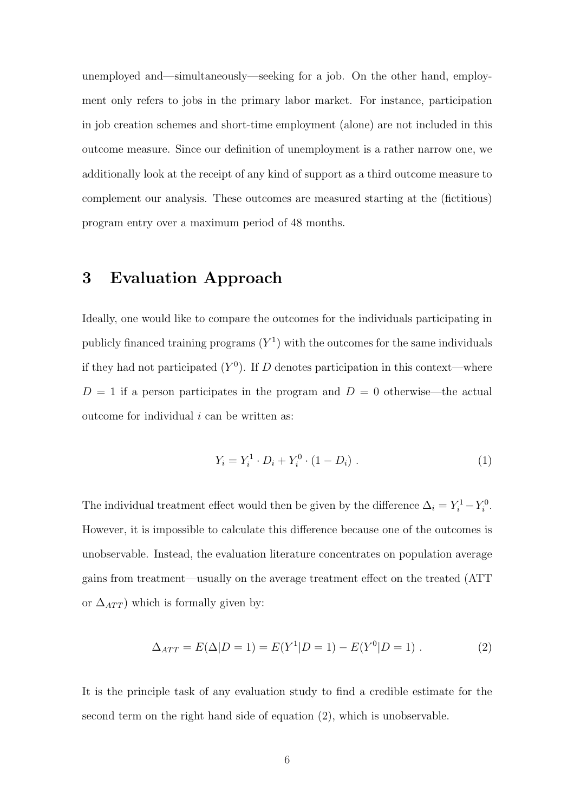unemployed and—simultaneously—seeking for a job. On the other hand, employment only refers to jobs in the primary labor market. For instance, participation in job creation schemes and short-time employment (alone) are not included in this outcome measure. Since our definition of unemployment is a rather narrow one, we additionally look at the receipt of any kind of support as a third outcome measure to complement our analysis. These outcomes are measured starting at the (fictitious) program entry over a maximum period of 48 months.

#### 3 Evaluation Approach

Ideally, one would like to compare the outcomes for the individuals participating in publicly financed training programs  $(Y^1)$  with the outcomes for the same individuals if they had not participated  $(Y^0)$ . If D denotes participation in this context—where  $D = 1$  if a person participates in the program and  $D = 0$  otherwise—the actual outcome for individual  $i$  can be written as:

$$
Y_i = Y_i^1 \cdot D_i + Y_i^0 \cdot (1 - D_i) \tag{1}
$$

The individual treatment effect would then be given by the difference  $\Delta_i = Y_i^1 - Y_i^0$ . However, it is impossible to calculate this difference because one of the outcomes is unobservable. Instead, the evaluation literature concentrates on population average gains from treatment—usually on the average treatment effect on the treated (ATT or  $\Delta_{ATT}$ ) which is formally given by:

$$
\Delta_{ATT} = E(\Delta|D=1) = E(Y^1|D=1) - E(Y^0|D=1) . \tag{2}
$$

It is the principle task of any evaluation study to find a credible estimate for the second term on the right hand side of equation (2), which is unobservable.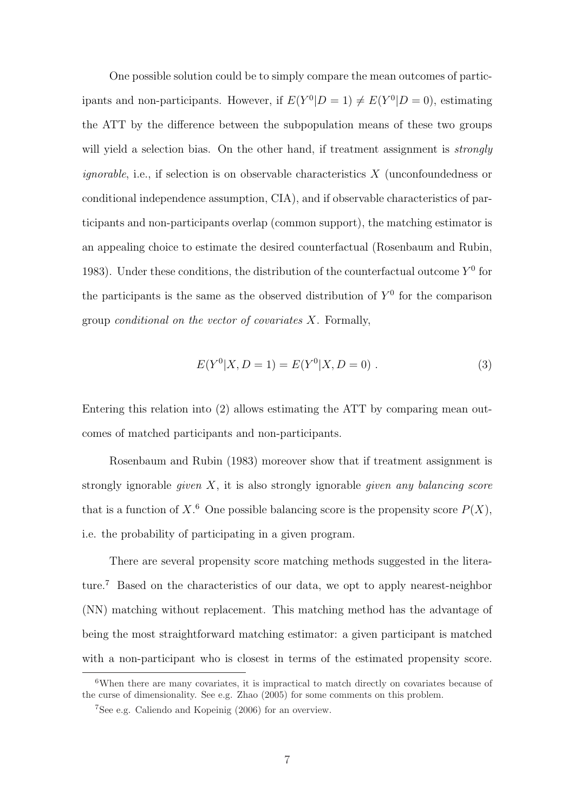One possible solution could be to simply compare the mean outcomes of participants and non-participants. However, if  $E(Y^0|D=1) \neq E(Y^0|D=0)$ , estimating the ATT by the difference between the subpopulation means of these two groups will yield a selection bias. On the other hand, if treatment assignment is *strongly ignorable*, i.e., if selection is on observable characteristics  $X$  (unconfoundedness or conditional independence assumption, CIA), and if observable characteristics of participants and non-participants overlap (common support), the matching estimator is an appealing choice to estimate the desired counterfactual (Rosenbaum and Rubin, 1983). Under these conditions, the distribution of the counterfactual outcome  $Y^0$  for the participants is the same as the observed distribution of  $Y<sup>0</sup>$  for the comparison group *conditional on the vector of covariates*  $X$ . Formally,

$$
E(Y0|X, D = 1) = E(Y0|X, D = 0).
$$
\n(3)

Entering this relation into (2) allows estimating the ATT by comparing mean outcomes of matched participants and non-participants.

Rosenbaum and Rubin (1983) moreover show that if treatment assignment is strongly ignorable *given*  $X$ , it is also strongly ignorable *given any balancing score* that is a function of X<sup>6</sup>. One possible balancing score is the propensity score  $P(X)$ , i.e. the probability of participating in a given program.

There are several propensity score matching methods suggested in the literature.<sup>7</sup> Based on the characteristics of our data, we opt to apply nearest-neighbor (NN) matching without replacement. This matching method has the advantage of being the most straightforward matching estimator: a given participant is matched with a non-participant who is closest in terms of the estimated propensity score.

<sup>6</sup>When there are many covariates, it is impractical to match directly on covariates because of the curse of dimensionality. See e.g. Zhao (2005) for some comments on this problem.

<sup>7</sup>See e.g. Caliendo and Kopeinig (2006) for an overview.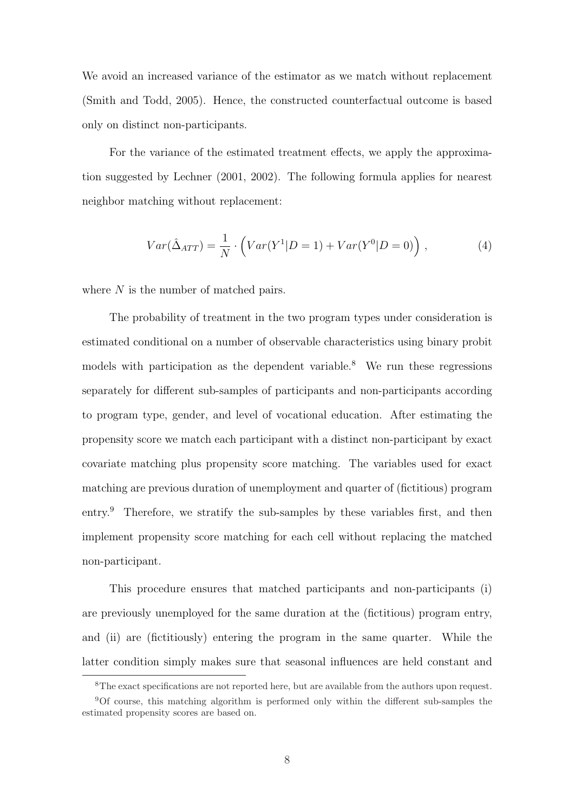We avoid an increased variance of the estimator as we match without replacement (Smith and Todd, 2005). Hence, the constructed counterfactual outcome is based only on distinct non-participants.

For the variance of the estimated treatment effects, we apply the approximation suggested by Lechner (2001, 2002). The following formula applies for nearest neighbor matching without replacement:

$$
Var(\hat{\Delta}_{ATT}) = \frac{1}{N} \cdot \left( Var(Y^1 | D = 1) + Var(Y^0 | D = 0) \right), \qquad (4)
$$

where N is the number of matched pairs.

The probability of treatment in the two program types under consideration is estimated conditional on a number of observable characteristics using binary probit models with participation as the dependent variable.<sup>8</sup> We run these regressions separately for different sub-samples of participants and non-participants according to program type, gender, and level of vocational education. After estimating the propensity score we match each participant with a distinct non-participant by exact covariate matching plus propensity score matching. The variables used for exact matching are previous duration of unemployment and quarter of (fictitious) program entry.<sup>9</sup> Therefore, we stratify the sub-samples by these variables first, and then implement propensity score matching for each cell without replacing the matched non-participant.

This procedure ensures that matched participants and non-participants (i) are previously unemployed for the same duration at the (fictitious) program entry, and (ii) are (fictitiously) entering the program in the same quarter. While the latter condition simply makes sure that seasonal influences are held constant and

<sup>8</sup>The exact specifications are not reported here, but are available from the authors upon request.

<sup>9</sup>Of course, this matching algorithm is performed only within the different sub-samples the estimated propensity scores are based on.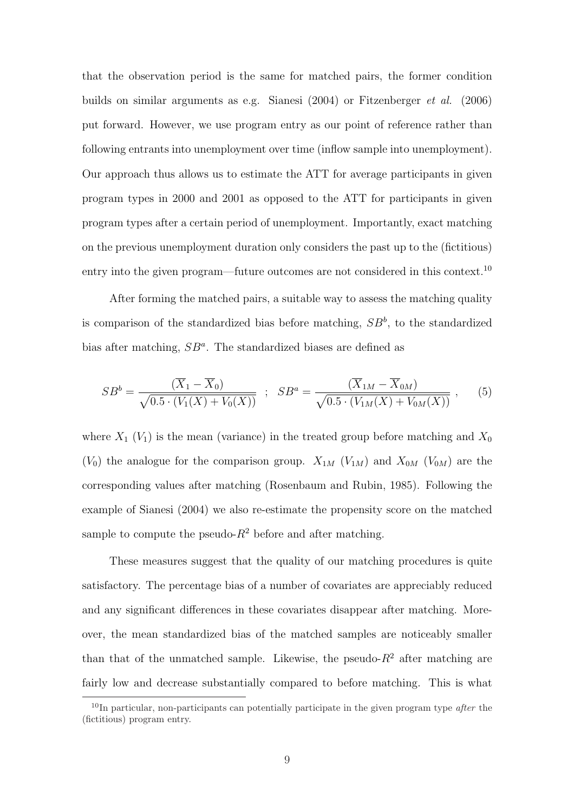that the observation period is the same for matched pairs, the former condition builds on similar arguments as e.g. Sianesi (2004) or Fitzenberger et al. (2006) put forward. However, we use program entry as our point of reference rather than following entrants into unemployment over time (inflow sample into unemployment). Our approach thus allows us to estimate the ATT for average participants in given program types in 2000 and 2001 as opposed to the ATT for participants in given program types after a certain period of unemployment. Importantly, exact matching on the previous unemployment duration only considers the past up to the (fictitious) entry into the given program—future outcomes are not considered in this context.<sup>10</sup>

After forming the matched pairs, a suitable way to assess the matching quality is comparison of the standardized bias before matching,  $SB^b$ , to the standardized bias after matching,  $SB^a$ . The standardized biases are defined as

$$
SB^b = \frac{(\overline{X}_1 - \overline{X}_0)}{\sqrt{0.5 \cdot (V_1(X) + V_0(X))}} \; ; \; SB^a = \frac{(\overline{X}_{1M} - \overline{X}_{0M})}{\sqrt{0.5 \cdot (V_{1M}(X) + V_{0M}(X))}} \; , \qquad (5)
$$

where  $X_1$  ( $V_1$ ) is the mean (variance) in the treated group before matching and  $X_0$  $(V_0)$  the analogue for the comparison group.  $X_{1M}$   $(V_{1M})$  and  $X_{0M}$   $(V_{0M})$  are the corresponding values after matching (Rosenbaum and Rubin, 1985). Following the example of Sianesi (2004) we also re-estimate the propensity score on the matched sample to compute the pseudo- $R^2$  before and after matching.

These measures suggest that the quality of our matching procedures is quite satisfactory. The percentage bias of a number of covariates are appreciably reduced and any significant differences in these covariates disappear after matching. Moreover, the mean standardized bias of the matched samples are noticeably smaller than that of the unmatched sample. Likewise, the pseudo- $R^2$  after matching are fairly low and decrease substantially compared to before matching. This is what

 $10$ In particular, non-participants can potentially participate in the given program type *after* the (fictitious) program entry.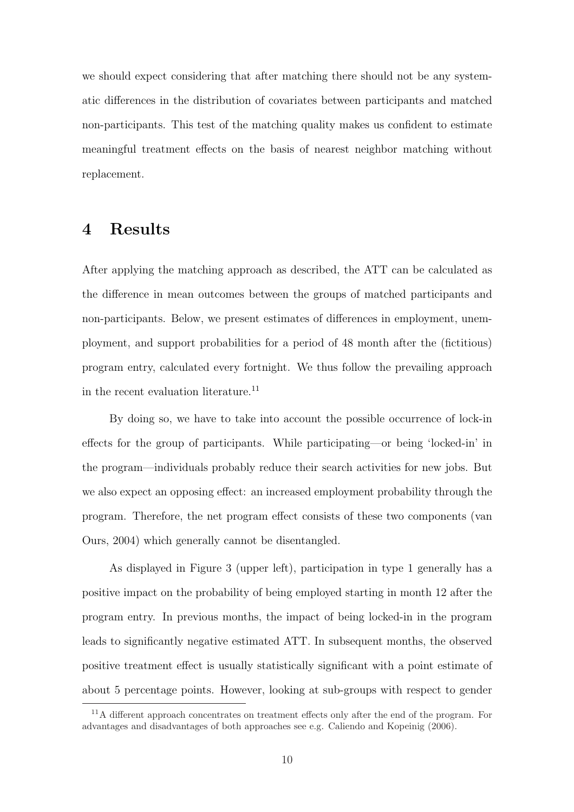we should expect considering that after matching there should not be any systematic differences in the distribution of covariates between participants and matched non-participants. This test of the matching quality makes us confident to estimate meaningful treatment effects on the basis of nearest neighbor matching without replacement.

## 4 Results

After applying the matching approach as described, the ATT can be calculated as the difference in mean outcomes between the groups of matched participants and non-participants. Below, we present estimates of differences in employment, unemployment, and support probabilities for a period of 48 month after the (fictitious) program entry, calculated every fortnight. We thus follow the prevailing approach in the recent evaluation literature.<sup>11</sup>

By doing so, we have to take into account the possible occurrence of lock-in effects for the group of participants. While participating—or being 'locked-in' in the program—individuals probably reduce their search activities for new jobs. But we also expect an opposing effect: an increased employment probability through the program. Therefore, the net program effect consists of these two components (van Ours, 2004) which generally cannot be disentangled.

As displayed in Figure 3 (upper left), participation in type 1 generally has a positive impact on the probability of being employed starting in month 12 after the program entry. In previous months, the impact of being locked-in in the program leads to significantly negative estimated ATT. In subsequent months, the observed positive treatment effect is usually statistically significant with a point estimate of about 5 percentage points. However, looking at sub-groups with respect to gender

<sup>&</sup>lt;sup>11</sup>A different approach concentrates on treatment effects only after the end of the program. For advantages and disadvantages of both approaches see e.g. Caliendo and Kopeinig (2006).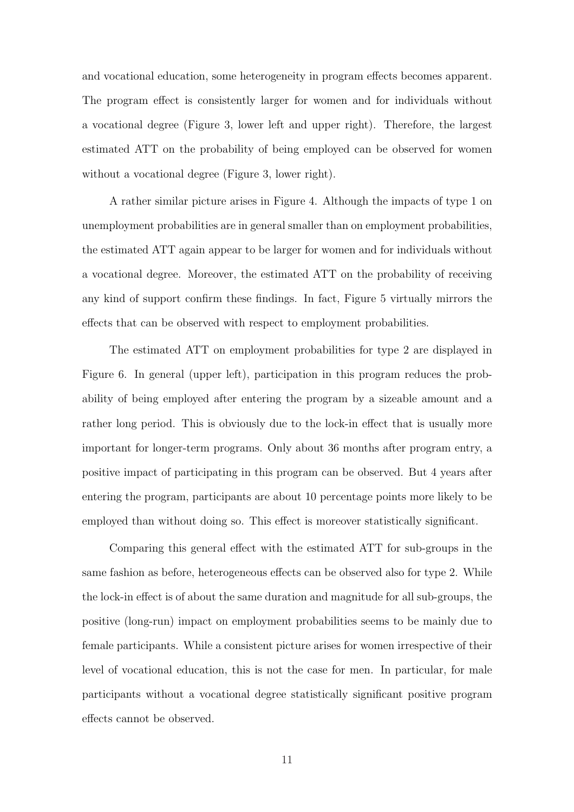and vocational education, some heterogeneity in program effects becomes apparent. The program effect is consistently larger for women and for individuals without a vocational degree (Figure 3, lower left and upper right). Therefore, the largest estimated ATT on the probability of being employed can be observed for women without a vocational degree (Figure 3, lower right).

A rather similar picture arises in Figure 4. Although the impacts of type 1 on unemployment probabilities are in general smaller than on employment probabilities, the estimated ATT again appear to be larger for women and for individuals without a vocational degree. Moreover, the estimated ATT on the probability of receiving any kind of support confirm these findings. In fact, Figure 5 virtually mirrors the effects that can be observed with respect to employment probabilities.

The estimated ATT on employment probabilities for type 2 are displayed in Figure 6. In general (upper left), participation in this program reduces the probability of being employed after entering the program by a sizeable amount and a rather long period. This is obviously due to the lock-in effect that is usually more important for longer-term programs. Only about 36 months after program entry, a positive impact of participating in this program can be observed. But 4 years after entering the program, participants are about 10 percentage points more likely to be employed than without doing so. This effect is moreover statistically significant.

Comparing this general effect with the estimated ATT for sub-groups in the same fashion as before, heterogeneous effects can be observed also for type 2. While the lock-in effect is of about the same duration and magnitude for all sub-groups, the positive (long-run) impact on employment probabilities seems to be mainly due to female participants. While a consistent picture arises for women irrespective of their level of vocational education, this is not the case for men. In particular, for male participants without a vocational degree statistically significant positive program effects cannot be observed.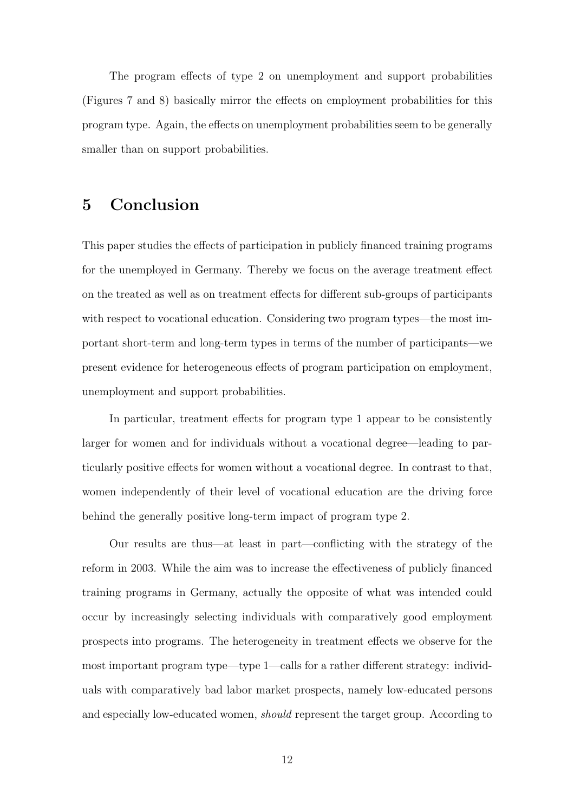The program effects of type 2 on unemployment and support probabilities (Figures 7 and 8) basically mirror the effects on employment probabilities for this program type. Again, the effects on unemployment probabilities seem to be generally smaller than on support probabilities.

#### 5 Conclusion

This paper studies the effects of participation in publicly financed training programs for the unemployed in Germany. Thereby we focus on the average treatment effect on the treated as well as on treatment effects for different sub-groups of participants with respect to vocational education. Considering two program types—the most important short-term and long-term types in terms of the number of participants—we present evidence for heterogeneous effects of program participation on employment, unemployment and support probabilities.

In particular, treatment effects for program type 1 appear to be consistently larger for women and for individuals without a vocational degree—leading to particularly positive effects for women without a vocational degree. In contrast to that, women independently of their level of vocational education are the driving force behind the generally positive long-term impact of program type 2.

Our results are thus—at least in part—conflicting with the strategy of the reform in 2003. While the aim was to increase the effectiveness of publicly financed training programs in Germany, actually the opposite of what was intended could occur by increasingly selecting individuals with comparatively good employment prospects into programs. The heterogeneity in treatment effects we observe for the most important program type—type 1—calls for a rather different strategy: individuals with comparatively bad labor market prospects, namely low-educated persons and especially low-educated women, *should* represent the target group. According to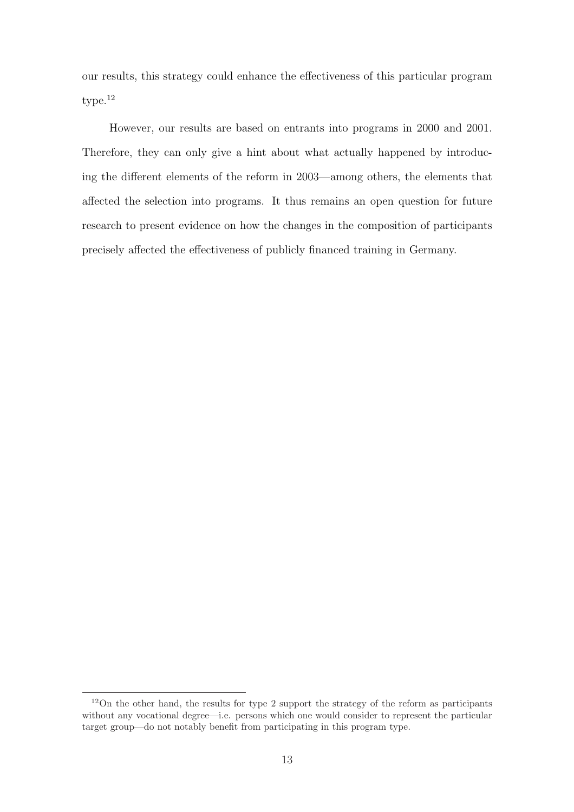our results, this strategy could enhance the effectiveness of this particular program type.<sup>12</sup>

However, our results are based on entrants into programs in 2000 and 2001. Therefore, they can only give a hint about what actually happened by introducing the different elements of the reform in 2003—among others, the elements that affected the selection into programs. It thus remains an open question for future research to present evidence on how the changes in the composition of participants precisely affected the effectiveness of publicly financed training in Germany.

<sup>12</sup>On the other hand, the results for type 2 support the strategy of the reform as participants without any vocational degree—i.e. persons which one would consider to represent the particular target group—do not notably benefit from participating in this program type.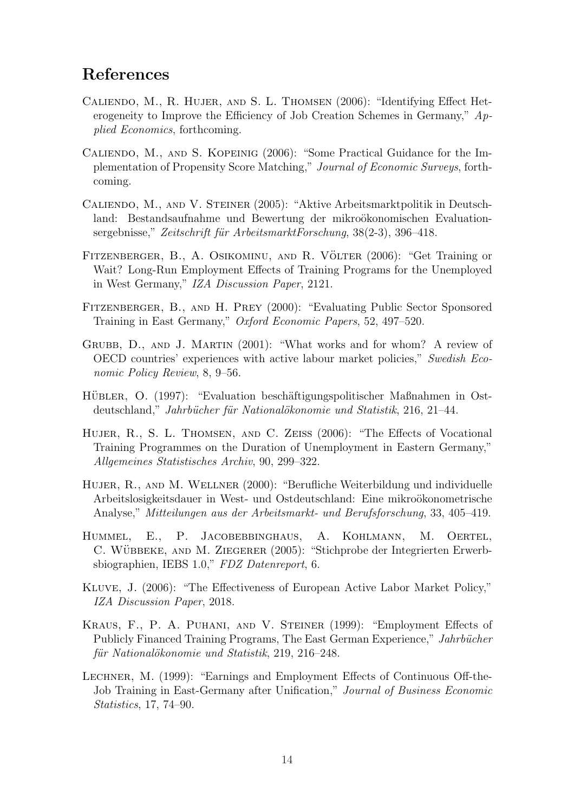## References

- Caliendo, M., R. Hujer, and S. L. Thomsen (2006): "Identifying Effect Heterogeneity to Improve the Efficiency of Job Creation Schemes in Germany,"  $Ap$ plied Economics, forthcoming.
- Caliendo, M., and S. Kopeinig (2006): "Some Practical Guidance for the Implementation of Propensity Score Matching," Journal of Economic Surveys, forthcoming.
- Caliendo, M., and V. Steiner (2005): "Aktive Arbeitsmarktpolitik in Deutschland: Bestandsaufnahme und Bewertung der mikroökonomischen Evaluationsergebnisse," Zeitschrift für ArbeitsmarktForschung,  $38(2-3)$ ,  $396-418$ .
- FITZENBERGER, B., A. OSIKOMINU, AND R. VÖLTER (2006): "Get Training or Wait? Long-Run Employment Effects of Training Programs for the Unemployed in West Germany," IZA Discussion Paper, 2121.
- Fitzenberger, B., and H. Prey (2000): "Evaluating Public Sector Sponsored Training in East Germany," Oxford Economic Papers, 52, 497–520.
- Grubb, D., and J. Martin (2001): "What works and for whom? A review of OECD countries' experiences with active labour market policies," Swedish Economic Policy Review, 8, 9–56.
- HÜBLER, O. (1997): "Evaluation beschäftigungspolitischer Maßnahmen in Ostdeutschland," Jahrbücher für Nationalökonomie und Statistik, 216, 21–44.
- HUJER, R., S. L. THOMSEN, AND C. ZEISS (2006): "The Effects of Vocational Training Programmes on the Duration of Unemployment in Eastern Germany," Allgemeines Statistisches Archiv, 90, 299–322.
- HUJER, R., AND M. WELLNER (2000): "Berufliche Weiterbildung und individuelle Arbeitslosigkeitsdauer in West- und Ostdeutschland: Eine mikroökonometrische Analyse," Mitteilungen aus der Arbeitsmarkt- und Berufsforschung, 33, 405–419.
- HUMMEL, E., P. JACOBEBBINGHAUS, A. KOHLMANN, M. OERTEL, C. WÜBBEKE, AND M. ZIEGERER (2005): "Stichprobe der Integrierten Erwerbsbiographien, IEBS 1.0," FDZ Datenreport, 6.
- Kluve, J. (2006): "The Effectiveness of European Active Labor Market Policy," IZA Discussion Paper, 2018.
- Kraus, F., P. A. Puhani, and V. Steiner (1999): "Employment Effects of Publicly Financed Training Programs, The East German Experience," Jahrbücher für Nationalökonomie und Statistik, 219, 216–248.
- Lechner, M. (1999): "Earnings and Employment Effects of Continuous Off-the-Job Training in East-Germany after Unification," Journal of Business Economic Statistics, 17, 74–90.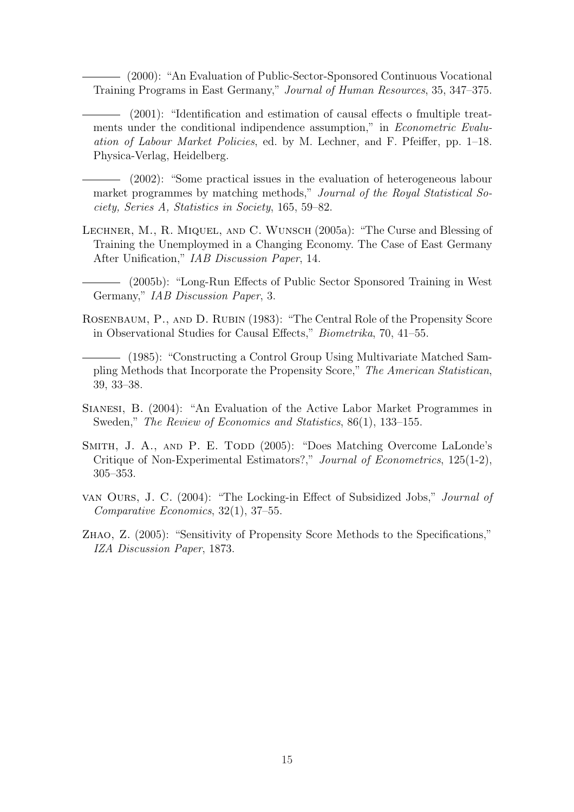(2000): "An Evaluation of Public-Sector-Sponsored Continuous Vocational Training Programs in East Germany," Journal of Human Resources, 35, 347–375.

(2001): "Identification and estimation of causal effects o fmultiple treatments under the conditional indipendence assumption," in *Econometric Evalu*ation of Labour Market Policies, ed. by M. Lechner, and F. Pfeiffer, pp. 1–18. Physica-Verlag, Heidelberg.

(2002): "Some practical issues in the evaluation of heterogeneous labour market programmes by matching methods," Journal of the Royal Statistical Society, Series A, Statistics in Society, 165, 59–82.

Lechner, M., R. Miquel, and C. Wunsch (2005a): "The Curse and Blessing of Training the Unemploymed in a Changing Economy. The Case of East Germany After Unification," IAB Discussion Paper, 14.

(2005b): "Long-Run Effects of Public Sector Sponsored Training in West Germany," IAB Discussion Paper, 3.

ROSENBAUM, P., AND D. RUBIN (1983): "The Central Role of the Propensity Score in Observational Studies for Causal Effects," Biometrika, 70, 41–55.

(1985): "Constructing a Control Group Using Multivariate Matched Sampling Methods that Incorporate the Propensity Score," The American Statistican, 39, 33–38.

Sianesi, B. (2004): "An Evaluation of the Active Labor Market Programmes in Sweden," The Review of Economics and Statistics, 86(1), 133–155.

- SMITH, J. A., AND P. E. TODD (2005): "Does Matching Overcome LaLonde's Critique of Non-Experimental Estimators?," Journal of Econometrics, 125(1-2), 305–353.
- van Ours, J. C. (2004): "The Locking-in Effect of Subsidized Jobs," Journal of Comparative Economics, 32(1), 37–55.
- Zhao, Z. (2005): "Sensitivity of Propensity Score Methods to the Specifications," IZA Discussion Paper, 1873.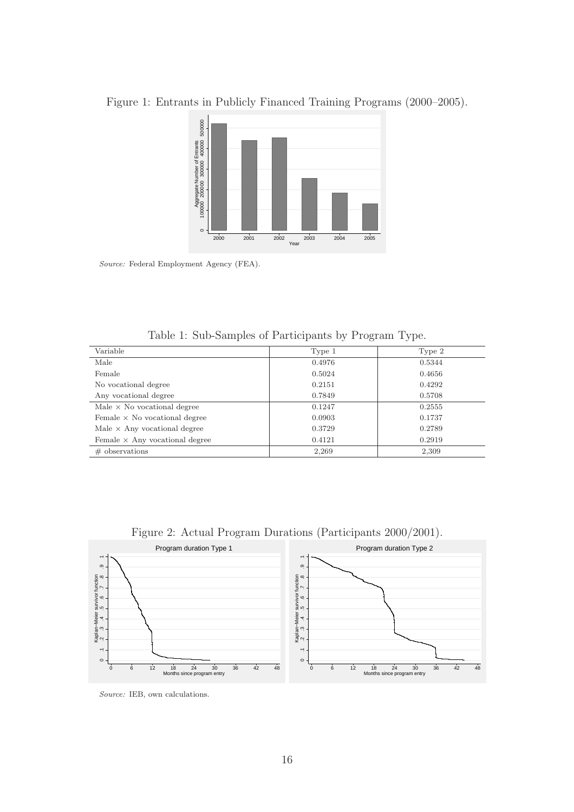

Figure 1: Entrants in Publicly Financed Training Programs (2000–2005).

Source: Federal Employment Agency (FEA).

Table 1: Sub-Samples of Participants by Program Type.

| Variable                              | Type 1 | Type 2 |
|---------------------------------------|--------|--------|
| Male                                  | 0.4976 | 0.5344 |
| Female                                | 0.5024 | 0.4656 |
| No vocational degree                  | 0.2151 | 0.4292 |
| Any vocational degree                 | 0.7849 | 0.5708 |
| Male $\times$ No vocational degree    | 0.1247 | 0.2555 |
| Female $\times$ No vocational degree  | 0.0903 | 0.1737 |
| Male $\times$ Any vocational degree   | 0.3729 | 0.2789 |
| Female $\times$ Any vocational degree | 0.4121 | 0.2919 |
| $\#$ observations                     | 2,269  | 2,309  |



Figure 2: Actual Program Durations (Participants 2000/2001).

Source: IEB, own calculations.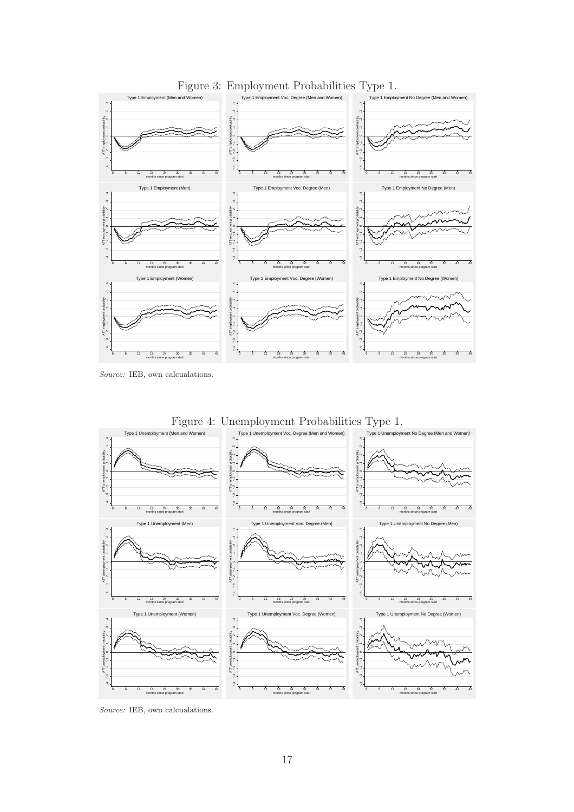

Source: IEB, own calcualations.



Figure 4: Unemployment Probabilities Type 1.

Source: IEB, own calcualations.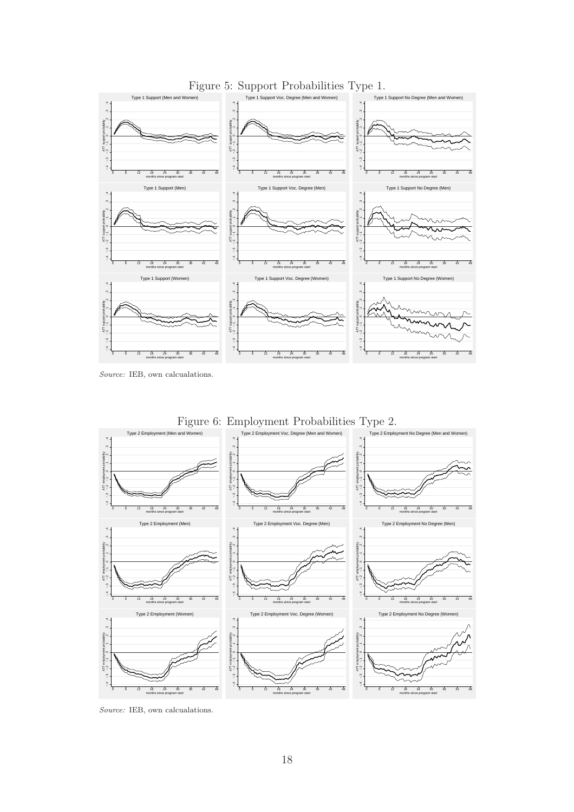

Figure 5: Support Probabilities Type 1.

Source: IEB, own calcualations.



Source: IEB, own calcualations.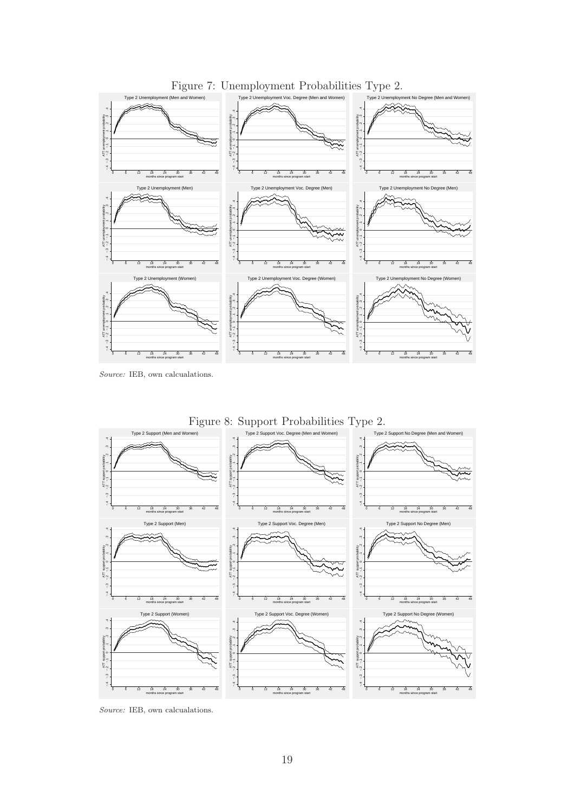

Source: IEB, own calcualations.

![](_page_19_Figure_2.jpeg)

Source: IEB, own calcualations.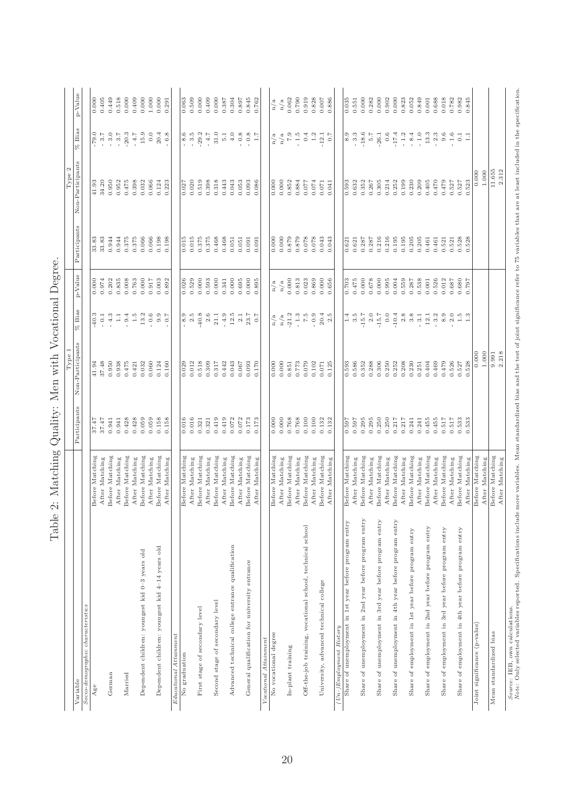| Socio-demographic characteristics<br>German<br>Married<br>Variable<br>Age                                                                                                                                                             |                                   |                |                           |                                           |                |                |                                            |                           |                  |
|---------------------------------------------------------------------------------------------------------------------------------------------------------------------------------------------------------------------------------------|-----------------------------------|----------------|---------------------------|-------------------------------------------|----------------|----------------|--------------------------------------------|---------------------------|------------------|
|                                                                                                                                                                                                                                       |                                   |                | Non-Participants<br>Type1 | $%$ Bias                                  | p-Value        | Participants   | Non-Participants<br>$\mathfrak{a}$<br>Type | $%$ Bias                  | p-Value          |
|                                                                                                                                                                                                                                       |                                   | Participants   |                           |                                           |                |                |                                            |                           |                  |
|                                                                                                                                                                                                                                       | Before Matching                   | 37.47          | 41.94                     | $-40.3$                                   | 0.000          | 33.83          | 41.93                                      | $-79.0$                   | 0.000            |
|                                                                                                                                                                                                                                       | After Matching                    | 37.47          | 37.48                     | $\overline{\phantom{0}}$ 0.1              | 0.974          | 33.83          | 34.20                                      | $-3.7$                    | 0.405            |
|                                                                                                                                                                                                                                       | Before Matching                   | 0.941          | 0.950                     | $-4.3$                                    | 0.202          | 0.944          | 0.950                                      | 3.0                       | 0.449            |
|                                                                                                                                                                                                                                       | After Matching                    | 0.941          | 0.938                     | $\overline{1}$ .                          | 0.835          | 0.944          | 0.952                                      | $-3.7$                    | 0.518            |
|                                                                                                                                                                                                                                       | Before Matching                   | 0.428          | 0.475                     | 9.4                                       | 0.008          | 0.375          | 0.475                                      | $-20.3$                   | 0.000            |
|                                                                                                                                                                                                                                       | After Matching                    | 0.428          | 0.421                     | 1.5                                       | 0.763          | 0.375          | 0.398                                      | $-4.7$                    | 0.409            |
| Dependent children: youngest kid 0-3 years old                                                                                                                                                                                        | Before Matching                   | 0.059          | 0.032                     | $13.2\,$                                  | 0.000          | 0.066          | 0.032                                      | 15.9                      | 0.000            |
| Dependent children: youngest kid 4-14 years old                                                                                                                                                                                       | Before Matching<br>After Matching | 0.059<br>0.158 | 0.060<br>0.124            | $-0.6$<br>9.9                             | 0.917<br>0.003 | 0.066<br>0.198 | 0.066<br>0.124                             | 0.0<br>20.4               | 1.000<br>0.000   |
|                                                                                                                                                                                                                                       | After Matching                    | 0.158          | 0.160                     | 0.7                                       | 0.892          | 0.198          | 0.223                                      | $-6.8$                    | 0.291            |
| Educational Attainment                                                                                                                                                                                                                |                                   |                |                           |                                           |                |                |                                            |                           |                  |
| No graduation                                                                                                                                                                                                                         | Before Matching                   | 0.016          | 0.029                     | $-8.9$                                    | 0.026          | 0.015          | 0.027                                      | 8. 5<br>8. 5              | 0.063            |
|                                                                                                                                                                                                                                       | After Matching                    | 0.016          | 0.012                     | $2.5$                                     | 0.529          | 0.015          | 0.020                                      |                           | 0.509            |
| First stage of secondary level                                                                                                                                                                                                        | Before Matching                   | 0.321          | 0.518                     | $-40.8$                                   | 0.000          | 0.375          | 0.519                                      | $-29.2$                   | 0.000            |
|                                                                                                                                                                                                                                       | After Matching                    | 0.321          | 0.309                     | $2.6$                                     | 0.593          | 0.375          | 0.398                                      | $-4.7$                    | 0.409            |
| Second stage of secondary level                                                                                                                                                                                                       | Before Matching                   | 0.419          | 0.317                     | 21.1                                      | 0.000          | 0.468          | 0.318                                      | 31.0                      | 0.000            |
| Advanced technical college entrance qualification                                                                                                                                                                                     | Before Matching<br>After Matching | 0.419<br>0.072 | 0.442<br>0.043            | $12.5$<br>$-4.9$                          | 0.000<br>0.341 | 0.468<br>0.051 | 0.443<br>0.043                             | $4.0$<br>5.1              | 0.387<br>0.304   |
|                                                                                                                                                                                                                                       | After Matching                    | 0.072          | 0.067                     | $2.1\,$                                   | 0.695          | 0.051          | 0.053                                      | $_{0.8}$                  | 0.897            |
| General qualification for university entrance                                                                                                                                                                                         | Before Matching                   | 0.173          | 0.093                     | 23.7                                      | 0.000          | 0.091          | 0.093                                      |                           | 0.845            |
|                                                                                                                                                                                                                                       | After Matching                    | 0.173          | 0.170                     | 0.7                                       | 0.895          | 0.091          | 0.086                                      | $-0.8\atop1.7$            | 0.762            |
| Vocational Attainment                                                                                                                                                                                                                 |                                   |                |                           |                                           |                |                |                                            |                           |                  |
| No vocational degree                                                                                                                                                                                                                  | Before Matching                   | 0.000          | 0.000                     | n/a                                       | n/a            | 0.000          | 0.000                                      | n/a                       | n/a              |
|                                                                                                                                                                                                                                       | After Matching                    | 0.000          | 0.000                     | $\rm n/a$                                 | $\rm n/a$      | 0.000          | 0.000                                      | $\rm n/a$                 | n/a              |
| In-plant training                                                                                                                                                                                                                     | Before Matching                   | 0.768          | 0.851                     | $-21.2$                                   | 0.000          | 0.879          | 0.852                                      | $7.9\,$                   | 0.062            |
|                                                                                                                                                                                                                                       | After Matching                    | 0.768          | 0.773                     | $-1.3$                                    | 0.813          | 0.879          | 0.884                                      | $-1.5$                    | 0.790            |
| Off-the-job training, vocational school, technical school                                                                                                                                                                             | Before Matching                   | 0.100          | 0.079                     | 7.5                                       | 0.023          | 0.078          | 0.077                                      | 0.4                       | 0.919            |
| University, advanced technical college                                                                                                                                                                                                | Before Matching<br>After Matching | 0.100<br>0.132 | 0.102<br>0.071            | 20.4<br>$-0.9$                            | 0.869<br>0.000 | 0.078<br>0.043 | 0.074<br>0.071                             | 1.2<br>$-12.1$            | 0.828<br>$0.007$ |
|                                                                                                                                                                                                                                       | After Matching                    | 0.132          | 0.125                     | 2.5                                       | 0.656          | 0.043          | 0.041                                      | 0.7                       | 0.886            |
| $(Un-)Emplogment$ History                                                                                                                                                                                                             |                                   |                |                           |                                           |                |                |                                            |                           |                  |
| Share of unemployment in 1st year before program entry                                                                                                                                                                                | Before Matching                   | 0.597          | 0.593                     | 1.4                                       | 0.703          | 0.621          | 0.593                                      |                           | 0.035            |
|                                                                                                                                                                                                                                       | After Matching                    | 0.597          | 0.586                     | $3.\overline{5}$                          | 0.475          | 0.621          | 0.632                                      |                           | 0.551            |
| Share of unemployment in 2nd year before program entry                                                                                                                                                                                | Before Matching                   | 0.295          | 0.352                     | $-15.7$                                   | 0.000          | 0.287          | 0.352                                      | $-18.6$                   | 0.000            |
|                                                                                                                                                                                                                                       | After Matching                    | 0.295          | 0.288                     | $2.0\,$                                   | 0.678          | 0.287          | 0.267                                      | 5.7                       | 0.282            |
| Share of unemployment in 3rd year before program entry                                                                                                                                                                                | Before Matching<br>After Matching | 0.250<br>0.250 | 0.306<br>0.250            | $-15.7$<br>0.0                            | 0.000<br>0.995 | 0.216<br>0.216 | 0.305<br>0.214                             | 0.6<br>$-26.1$            | 0.000<br>0.902   |
| Share of unemployment in 4th year before program entry                                                                                                                                                                                | Before Matching                   | 0.217          | 0.252                     | $-10.4$                                   | 0.004          | 0.195          | 0.252                                      | $-17.4$                   | 0.000            |
|                                                                                                                                                                                                                                       | After Matching                    | 0.217          | 0.208                     | $2.8$                                     | 0.559          | 0.195          | 0.199                                      | $-1.2$                    | 0.823            |
| Share of employment in 1st year before program entry                                                                                                                                                                                  | Before Matching                   | 0.241          | 0.230                     | 3.8                                       | 0.287          | 0.205          | 0.230                                      | $-8.4$                    | 0.052            |
|                                                                                                                                                                                                                                       | After Matching                    | 0.241          | 0.251                     | 3.1                                       | 0.538          | 0.205          | 0.209                                      | $-1.0$                    | 0.849            |
| Share of employment in 2nd year before program entry                                                                                                                                                                                  | Before Matching                   | 0.455          | 0.404                     | $12.1\,$                                  | 0.001          | 0.461          | 0.405                                      | $13.3\,$                  | 0.001            |
|                                                                                                                                                                                                                                       | After Matching                    | 0.455          | 0.469                     | $-3.2$                                    | 0.526          | 0.461          | 0.470                                      | $2.3\,$<br>$\overline{1}$ | 0.688            |
| Share of employment in 3rd year before program entry                                                                                                                                                                                  | Before Matching<br>After Matching | 0.517<br>0.517 | 0.526<br>0.479            | 8.9<br>$2.0\,$                            | 0.012<br>0.687 | 0.521<br>0.521 | 0.479<br>0.527                             | 9.6<br>$1.6\,$            | 0.018<br>0.782   |
| Share of employment in 4th year before program entry                                                                                                                                                                                  | Before Matching                   | 0.533          | 0.527                     |                                           | 0.680          | 0.528          | 0.527                                      | $\overline{0.1}$          | 0.982            |
|                                                                                                                                                                                                                                       | After Matching                    | 0.533          | 0.528                     | $\begin{array}{c} 1.5 \\ 1.3 \end{array}$ | 0.797          | 0.528          | 0.523                                      | $\Box$                    | 0.845            |
| Joint significance (p-value)                                                                                                                                                                                                          | Before Matching                   |                | 0.000                     |                                           |                |                | 0.000                                      |                           |                  |
|                                                                                                                                                                                                                                       | After Matching                    |                | 1.000                     |                                           |                |                | 1.000                                      |                           |                  |
| Mean standardized bias                                                                                                                                                                                                                | Before Matching                   |                | 9.991                     |                                           |                |                | 11.655                                     |                           |                  |
|                                                                                                                                                                                                                                       | After Matching                    |                | 2.218                     |                                           |                |                | 2.312                                      |                           |                  |
| <i>Source:</i> IEB, own calculations.<br>Note: Only selected variables reported. Specifications include more variables. Mean standardized bias and the test of joint significance refer to 75 variables that are at least included in |                                   |                |                           |                                           |                |                |                                            |                           |                  |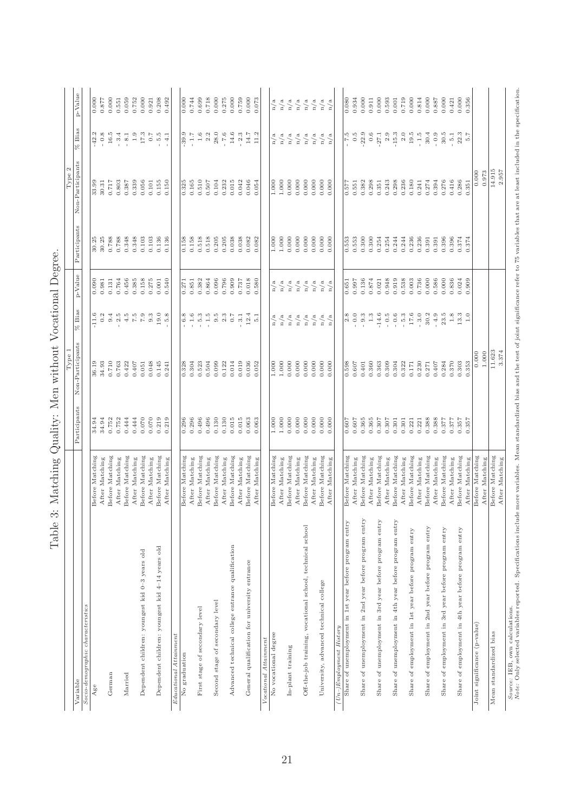| T MMT                                                                                                                                                                                                                                 | gmmannr                           | yarmiy.        | Type 1<br>TTATAT |                                           |                |                | Z<br>Type        |                    |                |
|---------------------------------------------------------------------------------------------------------------------------------------------------------------------------------------------------------------------------------------|-----------------------------------|----------------|------------------|-------------------------------------------|----------------|----------------|------------------|--------------------|----------------|
| Variable                                                                                                                                                                                                                              |                                   | Participants   | Non-Participants | $%$ Bias                                  | p-Value        | Participants   | Non-Participants | $%$ Bias           | p-Value        |
| Socio-demographic characteristics                                                                                                                                                                                                     |                                   |                |                  |                                           |                |                |                  |                    |                |
| Age                                                                                                                                                                                                                                   | Before Matching                   | 34.94          | 36.19            | $-11.6$                                   | 0.090          | 30.25          | 33.99            | $-42.2$            | 0.000          |
|                                                                                                                                                                                                                                       | After Matching                    | 34.94          | 34.93            | 0.2                                       | 0.981          | 30.25          | 30.31            | $-0.8$             | 0.877          |
| German                                                                                                                                                                                                                                | Before Matching                   | 0.752          | 0.710            | 9.4                                       | 0.131          | 0.788          | 0.717            | $16.5\,$           | 0.000          |
|                                                                                                                                                                                                                                       | After Matching                    | 0.752          | 0.763            | $2.5$                                     | 0.764          | 0.788          | 0.803            | 3.4                | 0.551          |
| Married                                                                                                                                                                                                                               | Before Matching                   | 0.444          | 0.422            | 4.5                                       | 0.456          | 0.348          | 0.387            | $8.1\,$            | 0.059          |
|                                                                                                                                                                                                                                       | After Matching                    | 0.444          | 0.407            | $\begin{array}{c} 7.5 \\ 7.9 \end{array}$ | 0.385          | 0.348          | 0.339            | $1.9\,$            | 0.752          |
| Dependent children: youngest kid 0-3 years old                                                                                                                                                                                        | Before Matching                   | 0.070          | 0.051            |                                           | 0.158          | 0.103          | 0.056            | $17.3\,$           | 0.000          |
|                                                                                                                                                                                                                                       | After Matching                    | 0.070          | 0.048            | 9.3                                       | 0.275          | 0.103          | 0.101            | $0.7\,$            | 0.921          |
| Dependent children: youngest kid 4-14 years old                                                                                                                                                                                       | Before Matching<br>After Matching | 0.219<br>0.219 | 0.145<br>0.241   | 19.0<br>5.8                               | 0.001<br>0.540 | 0.136<br>0.136 | 0.155<br>0.150   | 5.G<br>4.1         | 0.208<br>0.492 |
| Educational Attainment                                                                                                                                                                                                                |                                   |                |                  |                                           |                |                |                  |                    |                |
| No graduation                                                                                                                                                                                                                         | Before Matching                   | 0.296          | 0.328            | 6.8                                       | 0.271          | 0.158          | 0.325            | 39.9               | 0.000          |
|                                                                                                                                                                                                                                       | After Matching                    | 0.296          | 0.304            | $1.6\,$                                   | 0.851          | 0.158          | 0.165            | $-1.7$             | 0.744          |
| First stage of secondary level                                                                                                                                                                                                        | Before Matching                   | 0.496          | 0.523            | $-5.3$                                    | 0.382          | 0.518          | 0.510            | 1.6                | 0.699          |
|                                                                                                                                                                                                                                       | After Matching                    | 0.496          | 0.504            | $-1.5$                                    | 0.864          | 0.518          | 0.507            | $2.2\,$            | 0.718          |
| Second stage of secondary level                                                                                                                                                                                                       | Before Matching                   | 0.130          | 0.099            | $9.\overline{5}$                          | 0.096          | 0.205          | 0.104            | 28.0               | 0.000          |
| Advanced technical college entrance qualification                                                                                                                                                                                     | Before Matching<br>After Matching | 0.015<br>0.130 | 0.122<br>0.014   | $2.3$ $\phantom{0}0.7$                    | 0.796<br>0.909 | 0.205<br>0.038 | 0.232<br>0.015   | 14.6<br>$-7.6$     | 0.000<br>0.275 |
|                                                                                                                                                                                                                                       | After Matching                    | 0.015          | 0.019            | $-3.1$                                    | 0.787          | 0.038          | 0.042            | $-2.3$             | 0.759          |
| General qualification for university entrance                                                                                                                                                                                         | Before Matching                   | 0.063          | 0.036            | 12.4                                      | 0.018          | 0.082          | 0.046            | $14.7\,$           | 0.000          |
|                                                                                                                                                                                                                                       | After Matching                    | 0.063          | 0.052            | $\overline{5}$ .1                         | 0.580          | 0.082          | 0.054            | $11.2\,$           | 0.073          |
| Vocational Attainment                                                                                                                                                                                                                 |                                   |                |                  |                                           |                |                |                  |                    |                |
| No vocational degree                                                                                                                                                                                                                  | Before Matching                   | 1.000          | 1.000            | n/a                                       | n/a            | 1.000          | 1.000            | n/a                | n/a            |
|                                                                                                                                                                                                                                       | After Matching                    | 1.000          | 1.000            | n/a                                       | n/a            | 1.000          | 1.000            | n/a                | n/a            |
| In-plant training                                                                                                                                                                                                                     | Before Matching                   | 0.000          | 0.000            | n/a                                       | n/a            | 0.000          | 0.000            | n/a                | n/a            |
|                                                                                                                                                                                                                                       | After Matching                    | 0.000          | 0.000            | $\rm n/a$                                 | n/a            | 0.000          | 0.000            | $\rm n/a$          | n/a            |
| Off-the-job training, vocational school, technical school                                                                                                                                                                             | Before Matching                   | 0.000<br>0.000 | 0.000            | n/a                                       | n/a            | 0.000          | 0.000            | n/a                | n/a            |
| University, advanced technical college                                                                                                                                                                                                | Before Matching<br>After Matching | 0.000          | 0.000<br>0.000   | n/a<br>n/a                                | n/a<br>n/a     | 0.000<br>0.000 | 0.000<br>0.000   | n/a<br>n/a         | n/a<br>n/a     |
|                                                                                                                                                                                                                                       | After Matching                    | 0.000          | 0.000            | n/a                                       | n/a            | 0.000          | 0.000            | n/a                | n/a            |
| $(Un-)Emplogment$ History                                                                                                                                                                                                             |                                   |                |                  |                                           |                |                |                  |                    |                |
| Share of unemployment in 1st year before program entry                                                                                                                                                                                | Before Matching                   | 0.607          | 0.598            | 2.8                                       | 0.651          | 0.553          | 0.577            | 7.5                | 0.080          |
|                                                                                                                                                                                                                                       | After Matching                    | 0.607          | 0.607            | $-0.0$                                    | 0.997          | 0.553          | 0.551            | $0.\overline{5}$   | 0.934          |
| Share of unemployment in 2nd year before program entry                                                                                                                                                                                | Before Matching                   | 0.365          | 0.401            | 9.3                                       | 0.136          | 0.300          | 0.382            | 22.9               | 0.000          |
|                                                                                                                                                                                                                                       | After Matching                    | 0.365          | 0.360            | $1.3\,$                                   | 0.874          | 0.300          | 0.298            | 0.6                | 0.911          |
| Share of unemployment in 3rd year before program entry                                                                                                                                                                                | Before Matching                   | 0.307          | 0.363            | $-14.6$                                   | 0.021          | 0.254          | 0.351            | $-27.1$            | 0.000          |
|                                                                                                                                                                                                                                       | After Matching                    | 0.307          | 0.309            | $-0.5$                                    | 0.948<br>0.919 | 0.254<br>0.244 | 0.243            | $2.9\,$<br>$-15.3$ | 0.593          |
| Share of unemployment in 4th year before program entry                                                                                                                                                                                | Before Matching<br>After Matching | 0.301<br>0.301 | 0.304<br>0.322   | $-0.6$<br>$-5.3$                          | 0.538          | 0.244          | 0.298<br>0.236   | $2.0\,$            | 0.719<br>0.001 |
| Share of employment in 1st year before program entry                                                                                                                                                                                  | Before Matching                   | 0.221          | 0.171            | $17.6\,$                                  | 0.003          | 0.236          | 0.180            | 19.5               | 0.000          |
|                                                                                                                                                                                                                                       | After Matching                    | 0.221          | 0.230            | $-3.0$                                    | 0.736          | 0.236          | 0.241            | $-1.5$             | 0.814          |
| Share of employment in 2nd year before program entry                                                                                                                                                                                  | Before Matching                   | 0.388          | 0.271            | 30.2                                      | 0.000          | 0.391          | 0.274            | 30.4               | 0.000          |
|                                                                                                                                                                                                                                       | After Matching                    | 0.388          | 0.407            | $-4.9$                                    | 0.586          | 0.391          | 0.394            | $-0.9$             | 0.887          |
| Share of employment in 3rd year before program entry                                                                                                                                                                                  | Before Matching                   | 0.377          | 0.284            | 23.5                                      | $0.000$        | 0.396          | 0.276            | $30.5\,$           | 0.000          |
|                                                                                                                                                                                                                                       | After Matching                    | 0.377          | 0.370            | $1.8\,$                                   | 0.836          | 0.396          | 0.416            | $-5.1$             | 0.421          |
| Share of employment in 4th year before program entry                                                                                                                                                                                  | Before Matching<br>After Matching | 0.357<br>0.357 | 0.303<br>0.353   | 13.3<br>1.0                               | 0.909<br>0.024 | 0.374<br>0.374 | 0.286<br>0.351   | 22.3<br>5.7        | 0.000<br>0.356 |
| Joint significance (p-value)                                                                                                                                                                                                          | Before Matching                   |                | 0.000            |                                           |                |                | 0.000            |                    |                |
|                                                                                                                                                                                                                                       | After Matching                    |                | 1.000            |                                           |                |                | 0.973            |                    |                |
| Mean standardized bias                                                                                                                                                                                                                | Before Matching                   |                | 11.623           |                                           |                |                | 14.915           |                    |                |
|                                                                                                                                                                                                                                       | After Matching                    |                | 3.374            |                                           |                |                | 2.957            |                    |                |
| <i>Source:</i> IEB, own calculations.<br>Note: Only selected variables reported. Specifications include more variables. Mean standardized bias and the test of joint significance refer to 75 variables that are at least included in |                                   |                |                  |                                           |                |                |                  |                    |                |
|                                                                                                                                                                                                                                       |                                   |                |                  |                                           |                |                |                  |                    |                |

Table 3: Matching Quality: Men without Vocational Degree. Table 3: Matching Quality: Men without Vocational Degree.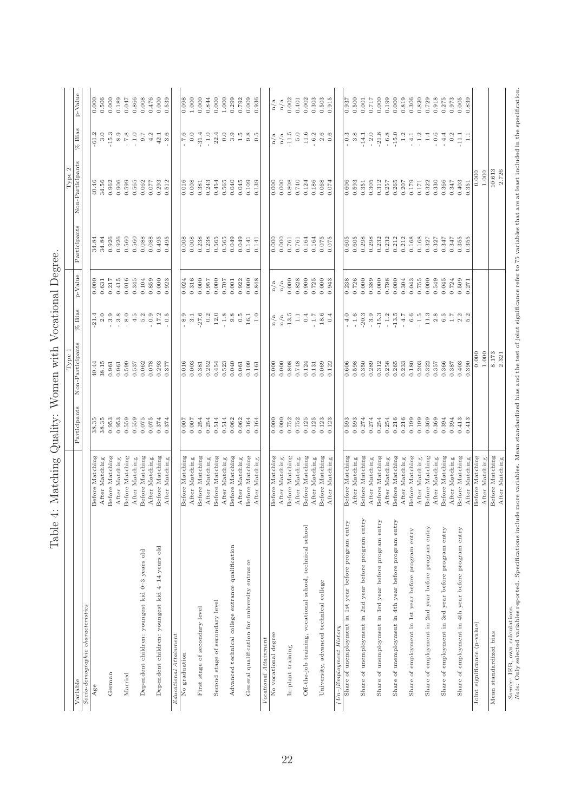| <i>Source:</i> IBB, own calculations.<br><i>Note:</i> Only selected variables reported. Specifications include more variables. Mean standardized bias and the test of joint significance refer to 75 variables that are at least included i<br>p-Value<br>0.000<br>0.506<br>0.000<br>0.189<br>0.047<br>0.866<br>0.008<br>0.476<br>0.000<br>0.539<br>1.000<br>0.000<br>0.844<br>0.000<br>1.000<br>0.299<br>0.792<br>0.009<br>0.936<br>0.002<br>0.303<br>0.503<br>0.500<br>0.717<br>0.000<br>0.199<br>0.000<br>0.819<br>0.306<br>0.820<br>0.729<br>0.918<br>0.275<br>0.973<br>0.005<br>0.839<br>0.098<br>0.002<br>0.915<br>0.001<br>0.401<br>0.937<br>n/a<br>n/a<br>$%$ Bias<br>$-15.3$<br>11.6<br>$-15.0$<br>$-61.2$<br>3.0<br>$\begin{smallmatrix} 8.9 \\ 7.8 \end{smallmatrix}$<br>$-1.0$<br>9.7<br>4.2<br>3.6<br>0.0<br>31.4<br>$-1.0$<br>22.4<br>0.0<br>3.9<br>1.5<br>$\begin{array}{c} 9.8 \\ 0.5 \end{array}$<br>$-11.5$<br>5.0<br>$-6.2$<br>$2.6\,$<br>0.6<br>$0.3\,$<br>3.8<br>$-2.0$<br>$-21.8$<br>$-6.8$<br>$1.2\,$<br>$-1.2$<br>$1.4\,$<br>$-0.6$<br>42.1<br>7.6<br>$-14.1$<br>$-4.1$<br>4.4<br>0.2<br>$-11.1$<br>n/a<br>$\Xi$<br>n/a<br>Non-Participants<br>10.613<br>2.726<br>1.000<br>0.000<br>0.265<br>0.330<br>40.46<br>34.56<br>0.962<br>0.906<br>0.599<br>0.565<br>0.062<br>0.293<br>0.008<br>0.243<br>0.454<br>0.565<br>0.040<br>0.045<br>0.109<br>0.000<br>0.808<br>0.740<br>0.124<br>0.186<br>0.068<br>0.593<br>0.305<br>0.312<br>0.257<br>0.207<br>0.179<br>0.171<br>0.322<br>0.366<br>0.347<br>0.403<br>0.351<br>0.077<br>0.512<br>0.016<br>0.381<br>0.139<br>0.000<br>0.606<br>0.351<br>0.074<br>Participants<br>0.926<br>0.926<br>0.560<br>0.560<br>0.088<br>0.238<br>0.238<br>0.565<br>0.298<br>0.212<br>0.212<br>0.168<br>0.168<br>0.088<br>0.495<br>0.008<br>0.565<br>0.049<br>0.049<br>0.000<br>0.164<br>0.164<br>0.075<br>0.298<br>0.232<br>0.232<br>0.327<br>0.347<br>0.355<br>34.84<br>0.495<br>0.761<br>0.605<br>0.605<br>0.327<br>0.347<br>0.355<br>0.008<br>0.141<br>0.761<br>0.075<br>34.84<br>0.141<br>0.000<br>p-Value<br>0.631<br>0.217<br>0.415<br>0.016<br>0.345<br>0.104<br>0.859<br>0.000<br>0.316<br>0.000<br>0.957<br>0.000<br>0.000<br>0.828<br>0.725<br>0.000<br>0.726<br>0.000<br>0.389<br>0.000<br>0.798<br>0.000<br>0.304<br>0.043<br>0.755<br>0.000<br>0.549<br>0.045<br>0.724<br>0.000<br>0.024<br>0.707<br>0.001<br>0.922<br>0.000<br>0.848<br>0.900<br>0.238<br>0.509<br>0.923<br>0.943<br>0.271<br>n/a<br>n/a<br>$%$ Bias<br>$-21.4$<br>$-8.0$<br>27.6<br>$12.0\,$<br>$-13.5$<br>18.6<br>$-15.3$<br>$-13.5$<br>$11.3\,$<br>$2.0\,$<br>$-3.9$<br>$-3.8$<br>4.5<br>$5.2\,$<br>$-0.9$<br>17.2<br>0.2<br>$-1.8$<br>$9.8\,$<br>$0.\overline{5}$<br>$16.1\,$<br>0.4<br>$\sim 1.7$<br>$-4.0$<br>$-1.6$<br>$-20.3$<br>$-3.9$<br>$-1.2$<br>$_{6.6}$<br>$-1.5$<br>$2.8\,$<br>$6.\overline{5}$<br>$-0.5$<br>8.9<br>3.1<br>$1.0\,$<br>$1.1\,$<br>0.4<br>- 4.7<br>$1.7$ $2.3$<br>n/a<br>n/a<br>Non-Participants<br>0.000<br>1.000<br>8.173<br>2.321<br>0.390<br>0.599<br>0.078<br>0.040<br>0.808<br>0.748<br>0.289<br>0.312<br>0.258<br>0.265<br>0.233<br>0.180<br>0.203<br>0.366<br>0.403<br>38.15<br>0.961<br>0.537<br>0.062<br>0.293<br>0.016<br>0.003<br>0.252<br>0.454<br>0.523<br>0.109<br>0.000<br>0.124<br>0.069<br>0.606<br>0.598<br>0.350<br>0.322<br>0.357<br>0.387<br>40.44<br>0.961<br>0.381<br>0.061<br>0.000<br>0.377<br>0.161<br>0.131<br>0.122<br>Participants<br>0.216<br>0.216<br>0.953<br>0.953<br>0.559<br>0.559<br>0.075<br>0.075<br>0.374<br>0.254<br>0.254<br>0.514<br>0.000<br>0.752<br>0.752<br>0.125<br>0.125<br>0.123<br>0.274<br>0.254<br>0.254<br>0.199<br>0.199<br>0.369<br>0.369<br>38.35<br>38.35<br>0.374<br>0.007<br>0.514<br>0.062<br>0.062<br>0.164<br>0.000<br>0.593<br>0.593<br>0.274<br>0.394<br>0.413<br>0.413<br>0.007<br>0.164<br>0.123<br>0.394<br>Before Matching<br>Before Matching<br>Before Matching<br>Before Matching<br>Before Matching<br>Before Matching<br>Before Matching<br>Before Matching<br>Before Matching<br>Before Matching<br>Before Matching<br>Before Matching<br>Before Matching<br>Before Matching<br>Before Matching<br>Before Matching<br>Before Matching<br>Before Matching<br>Before Matching<br>Before Matching<br>Before Matching<br>Before Matching<br>Before Matching<br>Before Matching<br>After Matching<br>After Matching<br>After Matching<br>After Matching<br>After Matching<br>After Matching<br>After Matching<br>After Matching<br>After Matching<br>After Matching<br>After Matching<br>After Matching<br>After Matching<br>After Matching<br>After Matching<br>After Matching<br>After Matching<br>After Matching<br>After Matching<br>After Matching<br>After Matching<br>After Matching<br>After Matching<br>After Matching<br>Share of unemployment in 2nd year before program entry<br>Share of unemployment in 3rd year before program entry<br>Share of unemployment in 4th year before program entry<br>Share of unemployment in 1st year before program entry<br>Off-the-job training, vocational school, technical school<br>Share of employment in 2nd year before program entry<br>Share of employment in 3rd year before program entry<br>Share of employment in 4th year before program entry<br>Share of employment in 1st year before program entry<br>Advanced technical college entrance qualification<br>Dependent children: youngest kid 4-14 years old<br>Dependent children: youngest kid 0-3 years old<br>General qualification for university entrance<br>University, advanced technical college<br>Second stage of secondary level<br>Socio-demographic characteristics<br>First stage of secondary level<br>Joint significance (p-value)<br>$(Un-)Emplogment History$<br>No vocational degree<br>Mean standardized bias<br>Educational Attainment<br>Vocational Attainment<br>In-plant training<br>No graduation<br>Married<br>German<br>Variable<br>Age |  | Type1 |  | $\mathcal{C}$<br>Type |  |
|------------------------------------------------------------------------------------------------------------------------------------------------------------------------------------------------------------------------------------------------------------------------------------------------------------------------------------------------------------------------------------------------------------------------------------------------------------------------------------------------------------------------------------------------------------------------------------------------------------------------------------------------------------------------------------------------------------------------------------------------------------------------------------------------------------------------------------------------------------------------------------------------------------------------------------------------------------------------------------------------------------------------------------------------------------------------------------------------------------------------------------------------------------------------------------------------------------------------------------------------------------------------------------------------------------------------------------------------------------------------------------------------------------------------------------------------------------------------------------------------------------------------------------------------------------------------------------------------------------------------------------------------------------------------------------------------------------------------------------------------------------------------------------------------------------------------------------------------------------------------------------------------------------------------------------------------------------------------------------------------------------------------------------------------------------------------------------------------------------------------------------------------------------------------------------------------------------------------------------------------------------------------------------------------------------------------------------------------------------------------------------------------------------------------------------------------------------------------------------------------------------------------------------------------------------------------------------------------------------------------------------------------------------------------------------------------------------------------------------------------------------------------------------------------------------------------------------------------------------------------------------------------------------------------------------------------------------------------------------------------------------------------------------------------------------------------------------------------------------------------------------------------------------------------------------------------------------------------------------------------------------------------------------------------------------------------------------------------------------------------------------------------------------------------------------------------------------------------------------------------------------------------------------------------------------------------------------------------------------------------------------------------------------------------------------------------------------------------------------------------------------------------------------------------------------------------------------------------------------------------------------------------------------------------------------------------------------------------------------------------------------------------------------------------------------------------------------------------------------------------------------------------------------------------------------------------------------------------------------------------------------------------------------------------------------------------------------------------------------------------------------------------------------------------------------------------------------------------------------------------------------------------------------------------------------------------------------------------------------------------------------------------------------------------------------------------------------------------------------------------------------------------------------------------------------------------------------------------------------------------------------------------------------------------------------------------------------------------------------------------------------------------------------------------------------------------------------------------------------------------------------------------------------------------------------------------------------------------------------------------------------------------------------------------------------------------------------------------------------------------------------------------------------------------------------------------------------------------------------------------------------------------------------------------------------------------------------------------------------------------------------------------------------------------------------------------------------------------------------------------------------------------------------------------------------------------------------------------------------------------------------------------------------------|--|-------|--|-----------------------|--|
|                                                                                                                                                                                                                                                                                                                                                                                                                                                                                                                                                                                                                                                                                                                                                                                                                                                                                                                                                                                                                                                                                                                                                                                                                                                                                                                                                                                                                                                                                                                                                                                                                                                                                                                                                                                                                                                                                                                                                                                                                                                                                                                                                                                                                                                                                                                                                                                                                                                                                                                                                                                                                                                                                                                                                                                                                                                                                                                                                                                                                                                                                                                                                                                                                                                                                                                                                                                                                                                                                                                                                                                                                                                                                                                                                                                                                                                                                                                                                                                                                                                                                                                                                                                                                                                                                                                                                                                                                                                                                                                                                                                                                                                                                                                                                                                                                                                                                                                                                                                                                                                                                                                                                                                                                                                                                                                                                                                                                                                                                                                                                                                                                                                                                                                                                                                                                                                                                                                  |  |       |  |                       |  |
|                                                                                                                                                                                                                                                                                                                                                                                                                                                                                                                                                                                                                                                                                                                                                                                                                                                                                                                                                                                                                                                                                                                                                                                                                                                                                                                                                                                                                                                                                                                                                                                                                                                                                                                                                                                                                                                                                                                                                                                                                                                                                                                                                                                                                                                                                                                                                                                                                                                                                                                                                                                                                                                                                                                                                                                                                                                                                                                                                                                                                                                                                                                                                                                                                                                                                                                                                                                                                                                                                                                                                                                                                                                                                                                                                                                                                                                                                                                                                                                                                                                                                                                                                                                                                                                                                                                                                                                                                                                                                                                                                                                                                                                                                                                                                                                                                                                                                                                                                                                                                                                                                                                                                                                                                                                                                                                                                                                                                                                                                                                                                                                                                                                                                                                                                                                                                                                                                                                  |  |       |  |                       |  |
|                                                                                                                                                                                                                                                                                                                                                                                                                                                                                                                                                                                                                                                                                                                                                                                                                                                                                                                                                                                                                                                                                                                                                                                                                                                                                                                                                                                                                                                                                                                                                                                                                                                                                                                                                                                                                                                                                                                                                                                                                                                                                                                                                                                                                                                                                                                                                                                                                                                                                                                                                                                                                                                                                                                                                                                                                                                                                                                                                                                                                                                                                                                                                                                                                                                                                                                                                                                                                                                                                                                                                                                                                                                                                                                                                                                                                                                                                                                                                                                                                                                                                                                                                                                                                                                                                                                                                                                                                                                                                                                                                                                                                                                                                                                                                                                                                                                                                                                                                                                                                                                                                                                                                                                                                                                                                                                                                                                                                                                                                                                                                                                                                                                                                                                                                                                                                                                                                                                  |  |       |  |                       |  |
|                                                                                                                                                                                                                                                                                                                                                                                                                                                                                                                                                                                                                                                                                                                                                                                                                                                                                                                                                                                                                                                                                                                                                                                                                                                                                                                                                                                                                                                                                                                                                                                                                                                                                                                                                                                                                                                                                                                                                                                                                                                                                                                                                                                                                                                                                                                                                                                                                                                                                                                                                                                                                                                                                                                                                                                                                                                                                                                                                                                                                                                                                                                                                                                                                                                                                                                                                                                                                                                                                                                                                                                                                                                                                                                                                                                                                                                                                                                                                                                                                                                                                                                                                                                                                                                                                                                                                                                                                                                                                                                                                                                                                                                                                                                                                                                                                                                                                                                                                                                                                                                                                                                                                                                                                                                                                                                                                                                                                                                                                                                                                                                                                                                                                                                                                                                                                                                                                                                  |  |       |  |                       |  |
|                                                                                                                                                                                                                                                                                                                                                                                                                                                                                                                                                                                                                                                                                                                                                                                                                                                                                                                                                                                                                                                                                                                                                                                                                                                                                                                                                                                                                                                                                                                                                                                                                                                                                                                                                                                                                                                                                                                                                                                                                                                                                                                                                                                                                                                                                                                                                                                                                                                                                                                                                                                                                                                                                                                                                                                                                                                                                                                                                                                                                                                                                                                                                                                                                                                                                                                                                                                                                                                                                                                                                                                                                                                                                                                                                                                                                                                                                                                                                                                                                                                                                                                                                                                                                                                                                                                                                                                                                                                                                                                                                                                                                                                                                                                                                                                                                                                                                                                                                                                                                                                                                                                                                                                                                                                                                                                                                                                                                                                                                                                                                                                                                                                                                                                                                                                                                                                                                                                  |  |       |  |                       |  |
|                                                                                                                                                                                                                                                                                                                                                                                                                                                                                                                                                                                                                                                                                                                                                                                                                                                                                                                                                                                                                                                                                                                                                                                                                                                                                                                                                                                                                                                                                                                                                                                                                                                                                                                                                                                                                                                                                                                                                                                                                                                                                                                                                                                                                                                                                                                                                                                                                                                                                                                                                                                                                                                                                                                                                                                                                                                                                                                                                                                                                                                                                                                                                                                                                                                                                                                                                                                                                                                                                                                                                                                                                                                                                                                                                                                                                                                                                                                                                                                                                                                                                                                                                                                                                                                                                                                                                                                                                                                                                                                                                                                                                                                                                                                                                                                                                                                                                                                                                                                                                                                                                                                                                                                                                                                                                                                                                                                                                                                                                                                                                                                                                                                                                                                                                                                                                                                                                                                  |  |       |  |                       |  |
|                                                                                                                                                                                                                                                                                                                                                                                                                                                                                                                                                                                                                                                                                                                                                                                                                                                                                                                                                                                                                                                                                                                                                                                                                                                                                                                                                                                                                                                                                                                                                                                                                                                                                                                                                                                                                                                                                                                                                                                                                                                                                                                                                                                                                                                                                                                                                                                                                                                                                                                                                                                                                                                                                                                                                                                                                                                                                                                                                                                                                                                                                                                                                                                                                                                                                                                                                                                                                                                                                                                                                                                                                                                                                                                                                                                                                                                                                                                                                                                                                                                                                                                                                                                                                                                                                                                                                                                                                                                                                                                                                                                                                                                                                                                                                                                                                                                                                                                                                                                                                                                                                                                                                                                                                                                                                                                                                                                                                                                                                                                                                                                                                                                                                                                                                                                                                                                                                                                  |  |       |  |                       |  |
|                                                                                                                                                                                                                                                                                                                                                                                                                                                                                                                                                                                                                                                                                                                                                                                                                                                                                                                                                                                                                                                                                                                                                                                                                                                                                                                                                                                                                                                                                                                                                                                                                                                                                                                                                                                                                                                                                                                                                                                                                                                                                                                                                                                                                                                                                                                                                                                                                                                                                                                                                                                                                                                                                                                                                                                                                                                                                                                                                                                                                                                                                                                                                                                                                                                                                                                                                                                                                                                                                                                                                                                                                                                                                                                                                                                                                                                                                                                                                                                                                                                                                                                                                                                                                                                                                                                                                                                                                                                                                                                                                                                                                                                                                                                                                                                                                                                                                                                                                                                                                                                                                                                                                                                                                                                                                                                                                                                                                                                                                                                                                                                                                                                                                                                                                                                                                                                                                                                  |  |       |  |                       |  |
|                                                                                                                                                                                                                                                                                                                                                                                                                                                                                                                                                                                                                                                                                                                                                                                                                                                                                                                                                                                                                                                                                                                                                                                                                                                                                                                                                                                                                                                                                                                                                                                                                                                                                                                                                                                                                                                                                                                                                                                                                                                                                                                                                                                                                                                                                                                                                                                                                                                                                                                                                                                                                                                                                                                                                                                                                                                                                                                                                                                                                                                                                                                                                                                                                                                                                                                                                                                                                                                                                                                                                                                                                                                                                                                                                                                                                                                                                                                                                                                                                                                                                                                                                                                                                                                                                                                                                                                                                                                                                                                                                                                                                                                                                                                                                                                                                                                                                                                                                                                                                                                                                                                                                                                                                                                                                                                                                                                                                                                                                                                                                                                                                                                                                                                                                                                                                                                                                                                  |  |       |  |                       |  |
|                                                                                                                                                                                                                                                                                                                                                                                                                                                                                                                                                                                                                                                                                                                                                                                                                                                                                                                                                                                                                                                                                                                                                                                                                                                                                                                                                                                                                                                                                                                                                                                                                                                                                                                                                                                                                                                                                                                                                                                                                                                                                                                                                                                                                                                                                                                                                                                                                                                                                                                                                                                                                                                                                                                                                                                                                                                                                                                                                                                                                                                                                                                                                                                                                                                                                                                                                                                                                                                                                                                                                                                                                                                                                                                                                                                                                                                                                                                                                                                                                                                                                                                                                                                                                                                                                                                                                                                                                                                                                                                                                                                                                                                                                                                                                                                                                                                                                                                                                                                                                                                                                                                                                                                                                                                                                                                                                                                                                                                                                                                                                                                                                                                                                                                                                                                                                                                                                                                  |  |       |  |                       |  |
|                                                                                                                                                                                                                                                                                                                                                                                                                                                                                                                                                                                                                                                                                                                                                                                                                                                                                                                                                                                                                                                                                                                                                                                                                                                                                                                                                                                                                                                                                                                                                                                                                                                                                                                                                                                                                                                                                                                                                                                                                                                                                                                                                                                                                                                                                                                                                                                                                                                                                                                                                                                                                                                                                                                                                                                                                                                                                                                                                                                                                                                                                                                                                                                                                                                                                                                                                                                                                                                                                                                                                                                                                                                                                                                                                                                                                                                                                                                                                                                                                                                                                                                                                                                                                                                                                                                                                                                                                                                                                                                                                                                                                                                                                                                                                                                                                                                                                                                                                                                                                                                                                                                                                                                                                                                                                                                                                                                                                                                                                                                                                                                                                                                                                                                                                                                                                                                                                                                  |  |       |  |                       |  |
|                                                                                                                                                                                                                                                                                                                                                                                                                                                                                                                                                                                                                                                                                                                                                                                                                                                                                                                                                                                                                                                                                                                                                                                                                                                                                                                                                                                                                                                                                                                                                                                                                                                                                                                                                                                                                                                                                                                                                                                                                                                                                                                                                                                                                                                                                                                                                                                                                                                                                                                                                                                                                                                                                                                                                                                                                                                                                                                                                                                                                                                                                                                                                                                                                                                                                                                                                                                                                                                                                                                                                                                                                                                                                                                                                                                                                                                                                                                                                                                                                                                                                                                                                                                                                                                                                                                                                                                                                                                                                                                                                                                                                                                                                                                                                                                                                                                                                                                                                                                                                                                                                                                                                                                                                                                                                                                                                                                                                                                                                                                                                                                                                                                                                                                                                                                                                                                                                                                  |  |       |  |                       |  |
|                                                                                                                                                                                                                                                                                                                                                                                                                                                                                                                                                                                                                                                                                                                                                                                                                                                                                                                                                                                                                                                                                                                                                                                                                                                                                                                                                                                                                                                                                                                                                                                                                                                                                                                                                                                                                                                                                                                                                                                                                                                                                                                                                                                                                                                                                                                                                                                                                                                                                                                                                                                                                                                                                                                                                                                                                                                                                                                                                                                                                                                                                                                                                                                                                                                                                                                                                                                                                                                                                                                                                                                                                                                                                                                                                                                                                                                                                                                                                                                                                                                                                                                                                                                                                                                                                                                                                                                                                                                                                                                                                                                                                                                                                                                                                                                                                                                                                                                                                                                                                                                                                                                                                                                                                                                                                                                                                                                                                                                                                                                                                                                                                                                                                                                                                                                                                                                                                                                  |  |       |  |                       |  |
|                                                                                                                                                                                                                                                                                                                                                                                                                                                                                                                                                                                                                                                                                                                                                                                                                                                                                                                                                                                                                                                                                                                                                                                                                                                                                                                                                                                                                                                                                                                                                                                                                                                                                                                                                                                                                                                                                                                                                                                                                                                                                                                                                                                                                                                                                                                                                                                                                                                                                                                                                                                                                                                                                                                                                                                                                                                                                                                                                                                                                                                                                                                                                                                                                                                                                                                                                                                                                                                                                                                                                                                                                                                                                                                                                                                                                                                                                                                                                                                                                                                                                                                                                                                                                                                                                                                                                                                                                                                                                                                                                                                                                                                                                                                                                                                                                                                                                                                                                                                                                                                                                                                                                                                                                                                                                                                                                                                                                                                                                                                                                                                                                                                                                                                                                                                                                                                                                                                  |  |       |  |                       |  |
|                                                                                                                                                                                                                                                                                                                                                                                                                                                                                                                                                                                                                                                                                                                                                                                                                                                                                                                                                                                                                                                                                                                                                                                                                                                                                                                                                                                                                                                                                                                                                                                                                                                                                                                                                                                                                                                                                                                                                                                                                                                                                                                                                                                                                                                                                                                                                                                                                                                                                                                                                                                                                                                                                                                                                                                                                                                                                                                                                                                                                                                                                                                                                                                                                                                                                                                                                                                                                                                                                                                                                                                                                                                                                                                                                                                                                                                                                                                                                                                                                                                                                                                                                                                                                                                                                                                                                                                                                                                                                                                                                                                                                                                                                                                                                                                                                                                                                                                                                                                                                                                                                                                                                                                                                                                                                                                                                                                                                                                                                                                                                                                                                                                                                                                                                                                                                                                                                                                  |  |       |  |                       |  |
|                                                                                                                                                                                                                                                                                                                                                                                                                                                                                                                                                                                                                                                                                                                                                                                                                                                                                                                                                                                                                                                                                                                                                                                                                                                                                                                                                                                                                                                                                                                                                                                                                                                                                                                                                                                                                                                                                                                                                                                                                                                                                                                                                                                                                                                                                                                                                                                                                                                                                                                                                                                                                                                                                                                                                                                                                                                                                                                                                                                                                                                                                                                                                                                                                                                                                                                                                                                                                                                                                                                                                                                                                                                                                                                                                                                                                                                                                                                                                                                                                                                                                                                                                                                                                                                                                                                                                                                                                                                                                                                                                                                                                                                                                                                                                                                                                                                                                                                                                                                                                                                                                                                                                                                                                                                                                                                                                                                                                                                                                                                                                                                                                                                                                                                                                                                                                                                                                                                  |  |       |  |                       |  |
|                                                                                                                                                                                                                                                                                                                                                                                                                                                                                                                                                                                                                                                                                                                                                                                                                                                                                                                                                                                                                                                                                                                                                                                                                                                                                                                                                                                                                                                                                                                                                                                                                                                                                                                                                                                                                                                                                                                                                                                                                                                                                                                                                                                                                                                                                                                                                                                                                                                                                                                                                                                                                                                                                                                                                                                                                                                                                                                                                                                                                                                                                                                                                                                                                                                                                                                                                                                                                                                                                                                                                                                                                                                                                                                                                                                                                                                                                                                                                                                                                                                                                                                                                                                                                                                                                                                                                                                                                                                                                                                                                                                                                                                                                                                                                                                                                                                                                                                                                                                                                                                                                                                                                                                                                                                                                                                                                                                                                                                                                                                                                                                                                                                                                                                                                                                                                                                                                                                  |  |       |  |                       |  |
|                                                                                                                                                                                                                                                                                                                                                                                                                                                                                                                                                                                                                                                                                                                                                                                                                                                                                                                                                                                                                                                                                                                                                                                                                                                                                                                                                                                                                                                                                                                                                                                                                                                                                                                                                                                                                                                                                                                                                                                                                                                                                                                                                                                                                                                                                                                                                                                                                                                                                                                                                                                                                                                                                                                                                                                                                                                                                                                                                                                                                                                                                                                                                                                                                                                                                                                                                                                                                                                                                                                                                                                                                                                                                                                                                                                                                                                                                                                                                                                                                                                                                                                                                                                                                                                                                                                                                                                                                                                                                                                                                                                                                                                                                                                                                                                                                                                                                                                                                                                                                                                                                                                                                                                                                                                                                                                                                                                                                                                                                                                                                                                                                                                                                                                                                                                                                                                                                                                  |  |       |  |                       |  |
|                                                                                                                                                                                                                                                                                                                                                                                                                                                                                                                                                                                                                                                                                                                                                                                                                                                                                                                                                                                                                                                                                                                                                                                                                                                                                                                                                                                                                                                                                                                                                                                                                                                                                                                                                                                                                                                                                                                                                                                                                                                                                                                                                                                                                                                                                                                                                                                                                                                                                                                                                                                                                                                                                                                                                                                                                                                                                                                                                                                                                                                                                                                                                                                                                                                                                                                                                                                                                                                                                                                                                                                                                                                                                                                                                                                                                                                                                                                                                                                                                                                                                                                                                                                                                                                                                                                                                                                                                                                                                                                                                                                                                                                                                                                                                                                                                                                                                                                                                                                                                                                                                                                                                                                                                                                                                                                                                                                                                                                                                                                                                                                                                                                                                                                                                                                                                                                                                                                  |  |       |  |                       |  |
|                                                                                                                                                                                                                                                                                                                                                                                                                                                                                                                                                                                                                                                                                                                                                                                                                                                                                                                                                                                                                                                                                                                                                                                                                                                                                                                                                                                                                                                                                                                                                                                                                                                                                                                                                                                                                                                                                                                                                                                                                                                                                                                                                                                                                                                                                                                                                                                                                                                                                                                                                                                                                                                                                                                                                                                                                                                                                                                                                                                                                                                                                                                                                                                                                                                                                                                                                                                                                                                                                                                                                                                                                                                                                                                                                                                                                                                                                                                                                                                                                                                                                                                                                                                                                                                                                                                                                                                                                                                                                                                                                                                                                                                                                                                                                                                                                                                                                                                                                                                                                                                                                                                                                                                                                                                                                                                                                                                                                                                                                                                                                                                                                                                                                                                                                                                                                                                                                                                  |  |       |  |                       |  |
|                                                                                                                                                                                                                                                                                                                                                                                                                                                                                                                                                                                                                                                                                                                                                                                                                                                                                                                                                                                                                                                                                                                                                                                                                                                                                                                                                                                                                                                                                                                                                                                                                                                                                                                                                                                                                                                                                                                                                                                                                                                                                                                                                                                                                                                                                                                                                                                                                                                                                                                                                                                                                                                                                                                                                                                                                                                                                                                                                                                                                                                                                                                                                                                                                                                                                                                                                                                                                                                                                                                                                                                                                                                                                                                                                                                                                                                                                                                                                                                                                                                                                                                                                                                                                                                                                                                                                                                                                                                                                                                                                                                                                                                                                                                                                                                                                                                                                                                                                                                                                                                                                                                                                                                                                                                                                                                                                                                                                                                                                                                                                                                                                                                                                                                                                                                                                                                                                                                  |  |       |  |                       |  |
|                                                                                                                                                                                                                                                                                                                                                                                                                                                                                                                                                                                                                                                                                                                                                                                                                                                                                                                                                                                                                                                                                                                                                                                                                                                                                                                                                                                                                                                                                                                                                                                                                                                                                                                                                                                                                                                                                                                                                                                                                                                                                                                                                                                                                                                                                                                                                                                                                                                                                                                                                                                                                                                                                                                                                                                                                                                                                                                                                                                                                                                                                                                                                                                                                                                                                                                                                                                                                                                                                                                                                                                                                                                                                                                                                                                                                                                                                                                                                                                                                                                                                                                                                                                                                                                                                                                                                                                                                                                                                                                                                                                                                                                                                                                                                                                                                                                                                                                                                                                                                                                                                                                                                                                                                                                                                                                                                                                                                                                                                                                                                                                                                                                                                                                                                                                                                                                                                                                  |  |       |  |                       |  |
|                                                                                                                                                                                                                                                                                                                                                                                                                                                                                                                                                                                                                                                                                                                                                                                                                                                                                                                                                                                                                                                                                                                                                                                                                                                                                                                                                                                                                                                                                                                                                                                                                                                                                                                                                                                                                                                                                                                                                                                                                                                                                                                                                                                                                                                                                                                                                                                                                                                                                                                                                                                                                                                                                                                                                                                                                                                                                                                                                                                                                                                                                                                                                                                                                                                                                                                                                                                                                                                                                                                                                                                                                                                                                                                                                                                                                                                                                                                                                                                                                                                                                                                                                                                                                                                                                                                                                                                                                                                                                                                                                                                                                                                                                                                                                                                                                                                                                                                                                                                                                                                                                                                                                                                                                                                                                                                                                                                                                                                                                                                                                                                                                                                                                                                                                                                                                                                                                                                  |  |       |  |                       |  |
|                                                                                                                                                                                                                                                                                                                                                                                                                                                                                                                                                                                                                                                                                                                                                                                                                                                                                                                                                                                                                                                                                                                                                                                                                                                                                                                                                                                                                                                                                                                                                                                                                                                                                                                                                                                                                                                                                                                                                                                                                                                                                                                                                                                                                                                                                                                                                                                                                                                                                                                                                                                                                                                                                                                                                                                                                                                                                                                                                                                                                                                                                                                                                                                                                                                                                                                                                                                                                                                                                                                                                                                                                                                                                                                                                                                                                                                                                                                                                                                                                                                                                                                                                                                                                                                                                                                                                                                                                                                                                                                                                                                                                                                                                                                                                                                                                                                                                                                                                                                                                                                                                                                                                                                                                                                                                                                                                                                                                                                                                                                                                                                                                                                                                                                                                                                                                                                                                                                  |  |       |  |                       |  |
|                                                                                                                                                                                                                                                                                                                                                                                                                                                                                                                                                                                                                                                                                                                                                                                                                                                                                                                                                                                                                                                                                                                                                                                                                                                                                                                                                                                                                                                                                                                                                                                                                                                                                                                                                                                                                                                                                                                                                                                                                                                                                                                                                                                                                                                                                                                                                                                                                                                                                                                                                                                                                                                                                                                                                                                                                                                                                                                                                                                                                                                                                                                                                                                                                                                                                                                                                                                                                                                                                                                                                                                                                                                                                                                                                                                                                                                                                                                                                                                                                                                                                                                                                                                                                                                                                                                                                                                                                                                                                                                                                                                                                                                                                                                                                                                                                                                                                                                                                                                                                                                                                                                                                                                                                                                                                                                                                                                                                                                                                                                                                                                                                                                                                                                                                                                                                                                                                                                  |  |       |  |                       |  |
|                                                                                                                                                                                                                                                                                                                                                                                                                                                                                                                                                                                                                                                                                                                                                                                                                                                                                                                                                                                                                                                                                                                                                                                                                                                                                                                                                                                                                                                                                                                                                                                                                                                                                                                                                                                                                                                                                                                                                                                                                                                                                                                                                                                                                                                                                                                                                                                                                                                                                                                                                                                                                                                                                                                                                                                                                                                                                                                                                                                                                                                                                                                                                                                                                                                                                                                                                                                                                                                                                                                                                                                                                                                                                                                                                                                                                                                                                                                                                                                                                                                                                                                                                                                                                                                                                                                                                                                                                                                                                                                                                                                                                                                                                                                                                                                                                                                                                                                                                                                                                                                                                                                                                                                                                                                                                                                                                                                                                                                                                                                                                                                                                                                                                                                                                                                                                                                                                                                  |  |       |  |                       |  |
|                                                                                                                                                                                                                                                                                                                                                                                                                                                                                                                                                                                                                                                                                                                                                                                                                                                                                                                                                                                                                                                                                                                                                                                                                                                                                                                                                                                                                                                                                                                                                                                                                                                                                                                                                                                                                                                                                                                                                                                                                                                                                                                                                                                                                                                                                                                                                                                                                                                                                                                                                                                                                                                                                                                                                                                                                                                                                                                                                                                                                                                                                                                                                                                                                                                                                                                                                                                                                                                                                                                                                                                                                                                                                                                                                                                                                                                                                                                                                                                                                                                                                                                                                                                                                                                                                                                                                                                                                                                                                                                                                                                                                                                                                                                                                                                                                                                                                                                                                                                                                                                                                                                                                                                                                                                                                                                                                                                                                                                                                                                                                                                                                                                                                                                                                                                                                                                                                                                  |  |       |  |                       |  |
|                                                                                                                                                                                                                                                                                                                                                                                                                                                                                                                                                                                                                                                                                                                                                                                                                                                                                                                                                                                                                                                                                                                                                                                                                                                                                                                                                                                                                                                                                                                                                                                                                                                                                                                                                                                                                                                                                                                                                                                                                                                                                                                                                                                                                                                                                                                                                                                                                                                                                                                                                                                                                                                                                                                                                                                                                                                                                                                                                                                                                                                                                                                                                                                                                                                                                                                                                                                                                                                                                                                                                                                                                                                                                                                                                                                                                                                                                                                                                                                                                                                                                                                                                                                                                                                                                                                                                                                                                                                                                                                                                                                                                                                                                                                                                                                                                                                                                                                                                                                                                                                                                                                                                                                                                                                                                                                                                                                                                                                                                                                                                                                                                                                                                                                                                                                                                                                                                                                  |  |       |  |                       |  |
|                                                                                                                                                                                                                                                                                                                                                                                                                                                                                                                                                                                                                                                                                                                                                                                                                                                                                                                                                                                                                                                                                                                                                                                                                                                                                                                                                                                                                                                                                                                                                                                                                                                                                                                                                                                                                                                                                                                                                                                                                                                                                                                                                                                                                                                                                                                                                                                                                                                                                                                                                                                                                                                                                                                                                                                                                                                                                                                                                                                                                                                                                                                                                                                                                                                                                                                                                                                                                                                                                                                                                                                                                                                                                                                                                                                                                                                                                                                                                                                                                                                                                                                                                                                                                                                                                                                                                                                                                                                                                                                                                                                                                                                                                                                                                                                                                                                                                                                                                                                                                                                                                                                                                                                                                                                                                                                                                                                                                                                                                                                                                                                                                                                                                                                                                                                                                                                                                                                  |  |       |  |                       |  |
|                                                                                                                                                                                                                                                                                                                                                                                                                                                                                                                                                                                                                                                                                                                                                                                                                                                                                                                                                                                                                                                                                                                                                                                                                                                                                                                                                                                                                                                                                                                                                                                                                                                                                                                                                                                                                                                                                                                                                                                                                                                                                                                                                                                                                                                                                                                                                                                                                                                                                                                                                                                                                                                                                                                                                                                                                                                                                                                                                                                                                                                                                                                                                                                                                                                                                                                                                                                                                                                                                                                                                                                                                                                                                                                                                                                                                                                                                                                                                                                                                                                                                                                                                                                                                                                                                                                                                                                                                                                                                                                                                                                                                                                                                                                                                                                                                                                                                                                                                                                                                                                                                                                                                                                                                                                                                                                                                                                                                                                                                                                                                                                                                                                                                                                                                                                                                                                                                                                  |  |       |  |                       |  |
|                                                                                                                                                                                                                                                                                                                                                                                                                                                                                                                                                                                                                                                                                                                                                                                                                                                                                                                                                                                                                                                                                                                                                                                                                                                                                                                                                                                                                                                                                                                                                                                                                                                                                                                                                                                                                                                                                                                                                                                                                                                                                                                                                                                                                                                                                                                                                                                                                                                                                                                                                                                                                                                                                                                                                                                                                                                                                                                                                                                                                                                                                                                                                                                                                                                                                                                                                                                                                                                                                                                                                                                                                                                                                                                                                                                                                                                                                                                                                                                                                                                                                                                                                                                                                                                                                                                                                                                                                                                                                                                                                                                                                                                                                                                                                                                                                                                                                                                                                                                                                                                                                                                                                                                                                                                                                                                                                                                                                                                                                                                                                                                                                                                                                                                                                                                                                                                                                                                  |  |       |  |                       |  |
|                                                                                                                                                                                                                                                                                                                                                                                                                                                                                                                                                                                                                                                                                                                                                                                                                                                                                                                                                                                                                                                                                                                                                                                                                                                                                                                                                                                                                                                                                                                                                                                                                                                                                                                                                                                                                                                                                                                                                                                                                                                                                                                                                                                                                                                                                                                                                                                                                                                                                                                                                                                                                                                                                                                                                                                                                                                                                                                                                                                                                                                                                                                                                                                                                                                                                                                                                                                                                                                                                                                                                                                                                                                                                                                                                                                                                                                                                                                                                                                                                                                                                                                                                                                                                                                                                                                                                                                                                                                                                                                                                                                                                                                                                                                                                                                                                                                                                                                                                                                                                                                                                                                                                                                                                                                                                                                                                                                                                                                                                                                                                                                                                                                                                                                                                                                                                                                                                                                  |  |       |  |                       |  |
|                                                                                                                                                                                                                                                                                                                                                                                                                                                                                                                                                                                                                                                                                                                                                                                                                                                                                                                                                                                                                                                                                                                                                                                                                                                                                                                                                                                                                                                                                                                                                                                                                                                                                                                                                                                                                                                                                                                                                                                                                                                                                                                                                                                                                                                                                                                                                                                                                                                                                                                                                                                                                                                                                                                                                                                                                                                                                                                                                                                                                                                                                                                                                                                                                                                                                                                                                                                                                                                                                                                                                                                                                                                                                                                                                                                                                                                                                                                                                                                                                                                                                                                                                                                                                                                                                                                                                                                                                                                                                                                                                                                                                                                                                                                                                                                                                                                                                                                                                                                                                                                                                                                                                                                                                                                                                                                                                                                                                                                                                                                                                                                                                                                                                                                                                                                                                                                                                                                  |  |       |  |                       |  |
|                                                                                                                                                                                                                                                                                                                                                                                                                                                                                                                                                                                                                                                                                                                                                                                                                                                                                                                                                                                                                                                                                                                                                                                                                                                                                                                                                                                                                                                                                                                                                                                                                                                                                                                                                                                                                                                                                                                                                                                                                                                                                                                                                                                                                                                                                                                                                                                                                                                                                                                                                                                                                                                                                                                                                                                                                                                                                                                                                                                                                                                                                                                                                                                                                                                                                                                                                                                                                                                                                                                                                                                                                                                                                                                                                                                                                                                                                                                                                                                                                                                                                                                                                                                                                                                                                                                                                                                                                                                                                                                                                                                                                                                                                                                                                                                                                                                                                                                                                                                                                                                                                                                                                                                                                                                                                                                                                                                                                                                                                                                                                                                                                                                                                                                                                                                                                                                                                                                  |  |       |  |                       |  |
|                                                                                                                                                                                                                                                                                                                                                                                                                                                                                                                                                                                                                                                                                                                                                                                                                                                                                                                                                                                                                                                                                                                                                                                                                                                                                                                                                                                                                                                                                                                                                                                                                                                                                                                                                                                                                                                                                                                                                                                                                                                                                                                                                                                                                                                                                                                                                                                                                                                                                                                                                                                                                                                                                                                                                                                                                                                                                                                                                                                                                                                                                                                                                                                                                                                                                                                                                                                                                                                                                                                                                                                                                                                                                                                                                                                                                                                                                                                                                                                                                                                                                                                                                                                                                                                                                                                                                                                                                                                                                                                                                                                                                                                                                                                                                                                                                                                                                                                                                                                                                                                                                                                                                                                                                                                                                                                                                                                                                                                                                                                                                                                                                                                                                                                                                                                                                                                                                                                  |  |       |  |                       |  |
|                                                                                                                                                                                                                                                                                                                                                                                                                                                                                                                                                                                                                                                                                                                                                                                                                                                                                                                                                                                                                                                                                                                                                                                                                                                                                                                                                                                                                                                                                                                                                                                                                                                                                                                                                                                                                                                                                                                                                                                                                                                                                                                                                                                                                                                                                                                                                                                                                                                                                                                                                                                                                                                                                                                                                                                                                                                                                                                                                                                                                                                                                                                                                                                                                                                                                                                                                                                                                                                                                                                                                                                                                                                                                                                                                                                                                                                                                                                                                                                                                                                                                                                                                                                                                                                                                                                                                                                                                                                                                                                                                                                                                                                                                                                                                                                                                                                                                                                                                                                                                                                                                                                                                                                                                                                                                                                                                                                                                                                                                                                                                                                                                                                                                                                                                                                                                                                                                                                  |  |       |  |                       |  |
|                                                                                                                                                                                                                                                                                                                                                                                                                                                                                                                                                                                                                                                                                                                                                                                                                                                                                                                                                                                                                                                                                                                                                                                                                                                                                                                                                                                                                                                                                                                                                                                                                                                                                                                                                                                                                                                                                                                                                                                                                                                                                                                                                                                                                                                                                                                                                                                                                                                                                                                                                                                                                                                                                                                                                                                                                                                                                                                                                                                                                                                                                                                                                                                                                                                                                                                                                                                                                                                                                                                                                                                                                                                                                                                                                                                                                                                                                                                                                                                                                                                                                                                                                                                                                                                                                                                                                                                                                                                                                                                                                                                                                                                                                                                                                                                                                                                                                                                                                                                                                                                                                                                                                                                                                                                                                                                                                                                                                                                                                                                                                                                                                                                                                                                                                                                                                                                                                                                  |  |       |  |                       |  |
|                                                                                                                                                                                                                                                                                                                                                                                                                                                                                                                                                                                                                                                                                                                                                                                                                                                                                                                                                                                                                                                                                                                                                                                                                                                                                                                                                                                                                                                                                                                                                                                                                                                                                                                                                                                                                                                                                                                                                                                                                                                                                                                                                                                                                                                                                                                                                                                                                                                                                                                                                                                                                                                                                                                                                                                                                                                                                                                                                                                                                                                                                                                                                                                                                                                                                                                                                                                                                                                                                                                                                                                                                                                                                                                                                                                                                                                                                                                                                                                                                                                                                                                                                                                                                                                                                                                                                                                                                                                                                                                                                                                                                                                                                                                                                                                                                                                                                                                                                                                                                                                                                                                                                                                                                                                                                                                                                                                                                                                                                                                                                                                                                                                                                                                                                                                                                                                                                                                  |  |       |  |                       |  |
|                                                                                                                                                                                                                                                                                                                                                                                                                                                                                                                                                                                                                                                                                                                                                                                                                                                                                                                                                                                                                                                                                                                                                                                                                                                                                                                                                                                                                                                                                                                                                                                                                                                                                                                                                                                                                                                                                                                                                                                                                                                                                                                                                                                                                                                                                                                                                                                                                                                                                                                                                                                                                                                                                                                                                                                                                                                                                                                                                                                                                                                                                                                                                                                                                                                                                                                                                                                                                                                                                                                                                                                                                                                                                                                                                                                                                                                                                                                                                                                                                                                                                                                                                                                                                                                                                                                                                                                                                                                                                                                                                                                                                                                                                                                                                                                                                                                                                                                                                                                                                                                                                                                                                                                                                                                                                                                                                                                                                                                                                                                                                                                                                                                                                                                                                                                                                                                                                                                  |  |       |  |                       |  |
|                                                                                                                                                                                                                                                                                                                                                                                                                                                                                                                                                                                                                                                                                                                                                                                                                                                                                                                                                                                                                                                                                                                                                                                                                                                                                                                                                                                                                                                                                                                                                                                                                                                                                                                                                                                                                                                                                                                                                                                                                                                                                                                                                                                                                                                                                                                                                                                                                                                                                                                                                                                                                                                                                                                                                                                                                                                                                                                                                                                                                                                                                                                                                                                                                                                                                                                                                                                                                                                                                                                                                                                                                                                                                                                                                                                                                                                                                                                                                                                                                                                                                                                                                                                                                                                                                                                                                                                                                                                                                                                                                                                                                                                                                                                                                                                                                                                                                                                                                                                                                                                                                                                                                                                                                                                                                                                                                                                                                                                                                                                                                                                                                                                                                                                                                                                                                                                                                                                  |  |       |  |                       |  |
|                                                                                                                                                                                                                                                                                                                                                                                                                                                                                                                                                                                                                                                                                                                                                                                                                                                                                                                                                                                                                                                                                                                                                                                                                                                                                                                                                                                                                                                                                                                                                                                                                                                                                                                                                                                                                                                                                                                                                                                                                                                                                                                                                                                                                                                                                                                                                                                                                                                                                                                                                                                                                                                                                                                                                                                                                                                                                                                                                                                                                                                                                                                                                                                                                                                                                                                                                                                                                                                                                                                                                                                                                                                                                                                                                                                                                                                                                                                                                                                                                                                                                                                                                                                                                                                                                                                                                                                                                                                                                                                                                                                                                                                                                                                                                                                                                                                                                                                                                                                                                                                                                                                                                                                                                                                                                                                                                                                                                                                                                                                                                                                                                                                                                                                                                                                                                                                                                                                  |  |       |  |                       |  |
|                                                                                                                                                                                                                                                                                                                                                                                                                                                                                                                                                                                                                                                                                                                                                                                                                                                                                                                                                                                                                                                                                                                                                                                                                                                                                                                                                                                                                                                                                                                                                                                                                                                                                                                                                                                                                                                                                                                                                                                                                                                                                                                                                                                                                                                                                                                                                                                                                                                                                                                                                                                                                                                                                                                                                                                                                                                                                                                                                                                                                                                                                                                                                                                                                                                                                                                                                                                                                                                                                                                                                                                                                                                                                                                                                                                                                                                                                                                                                                                                                                                                                                                                                                                                                                                                                                                                                                                                                                                                                                                                                                                                                                                                                                                                                                                                                                                                                                                                                                                                                                                                                                                                                                                                                                                                                                                                                                                                                                                                                                                                                                                                                                                                                                                                                                                                                                                                                                                  |  |       |  |                       |  |
|                                                                                                                                                                                                                                                                                                                                                                                                                                                                                                                                                                                                                                                                                                                                                                                                                                                                                                                                                                                                                                                                                                                                                                                                                                                                                                                                                                                                                                                                                                                                                                                                                                                                                                                                                                                                                                                                                                                                                                                                                                                                                                                                                                                                                                                                                                                                                                                                                                                                                                                                                                                                                                                                                                                                                                                                                                                                                                                                                                                                                                                                                                                                                                                                                                                                                                                                                                                                                                                                                                                                                                                                                                                                                                                                                                                                                                                                                                                                                                                                                                                                                                                                                                                                                                                                                                                                                                                                                                                                                                                                                                                                                                                                                                                                                                                                                                                                                                                                                                                                                                                                                                                                                                                                                                                                                                                                                                                                                                                                                                                                                                                                                                                                                                                                                                                                                                                                                                                  |  |       |  |                       |  |
|                                                                                                                                                                                                                                                                                                                                                                                                                                                                                                                                                                                                                                                                                                                                                                                                                                                                                                                                                                                                                                                                                                                                                                                                                                                                                                                                                                                                                                                                                                                                                                                                                                                                                                                                                                                                                                                                                                                                                                                                                                                                                                                                                                                                                                                                                                                                                                                                                                                                                                                                                                                                                                                                                                                                                                                                                                                                                                                                                                                                                                                                                                                                                                                                                                                                                                                                                                                                                                                                                                                                                                                                                                                                                                                                                                                                                                                                                                                                                                                                                                                                                                                                                                                                                                                                                                                                                                                                                                                                                                                                                                                                                                                                                                                                                                                                                                                                                                                                                                                                                                                                                                                                                                                                                                                                                                                                                                                                                                                                                                                                                                                                                                                                                                                                                                                                                                                                                                                  |  |       |  |                       |  |
|                                                                                                                                                                                                                                                                                                                                                                                                                                                                                                                                                                                                                                                                                                                                                                                                                                                                                                                                                                                                                                                                                                                                                                                                                                                                                                                                                                                                                                                                                                                                                                                                                                                                                                                                                                                                                                                                                                                                                                                                                                                                                                                                                                                                                                                                                                                                                                                                                                                                                                                                                                                                                                                                                                                                                                                                                                                                                                                                                                                                                                                                                                                                                                                                                                                                                                                                                                                                                                                                                                                                                                                                                                                                                                                                                                                                                                                                                                                                                                                                                                                                                                                                                                                                                                                                                                                                                                                                                                                                                                                                                                                                                                                                                                                                                                                                                                                                                                                                                                                                                                                                                                                                                                                                                                                                                                                                                                                                                                                                                                                                                                                                                                                                                                                                                                                                                                                                                                                  |  |       |  |                       |  |
|                                                                                                                                                                                                                                                                                                                                                                                                                                                                                                                                                                                                                                                                                                                                                                                                                                                                                                                                                                                                                                                                                                                                                                                                                                                                                                                                                                                                                                                                                                                                                                                                                                                                                                                                                                                                                                                                                                                                                                                                                                                                                                                                                                                                                                                                                                                                                                                                                                                                                                                                                                                                                                                                                                                                                                                                                                                                                                                                                                                                                                                                                                                                                                                                                                                                                                                                                                                                                                                                                                                                                                                                                                                                                                                                                                                                                                                                                                                                                                                                                                                                                                                                                                                                                                                                                                                                                                                                                                                                                                                                                                                                                                                                                                                                                                                                                                                                                                                                                                                                                                                                                                                                                                                                                                                                                                                                                                                                                                                                                                                                                                                                                                                                                                                                                                                                                                                                                                                  |  |       |  |                       |  |
|                                                                                                                                                                                                                                                                                                                                                                                                                                                                                                                                                                                                                                                                                                                                                                                                                                                                                                                                                                                                                                                                                                                                                                                                                                                                                                                                                                                                                                                                                                                                                                                                                                                                                                                                                                                                                                                                                                                                                                                                                                                                                                                                                                                                                                                                                                                                                                                                                                                                                                                                                                                                                                                                                                                                                                                                                                                                                                                                                                                                                                                                                                                                                                                                                                                                                                                                                                                                                                                                                                                                                                                                                                                                                                                                                                                                                                                                                                                                                                                                                                                                                                                                                                                                                                                                                                                                                                                                                                                                                                                                                                                                                                                                                                                                                                                                                                                                                                                                                                                                                                                                                                                                                                                                                                                                                                                                                                                                                                                                                                                                                                                                                                                                                                                                                                                                                                                                                                                  |  |       |  |                       |  |
|                                                                                                                                                                                                                                                                                                                                                                                                                                                                                                                                                                                                                                                                                                                                                                                                                                                                                                                                                                                                                                                                                                                                                                                                                                                                                                                                                                                                                                                                                                                                                                                                                                                                                                                                                                                                                                                                                                                                                                                                                                                                                                                                                                                                                                                                                                                                                                                                                                                                                                                                                                                                                                                                                                                                                                                                                                                                                                                                                                                                                                                                                                                                                                                                                                                                                                                                                                                                                                                                                                                                                                                                                                                                                                                                                                                                                                                                                                                                                                                                                                                                                                                                                                                                                                                                                                                                                                                                                                                                                                                                                                                                                                                                                                                                                                                                                                                                                                                                                                                                                                                                                                                                                                                                                                                                                                                                                                                                                                                                                                                                                                                                                                                                                                                                                                                                                                                                                                                  |  |       |  |                       |  |
|                                                                                                                                                                                                                                                                                                                                                                                                                                                                                                                                                                                                                                                                                                                                                                                                                                                                                                                                                                                                                                                                                                                                                                                                                                                                                                                                                                                                                                                                                                                                                                                                                                                                                                                                                                                                                                                                                                                                                                                                                                                                                                                                                                                                                                                                                                                                                                                                                                                                                                                                                                                                                                                                                                                                                                                                                                                                                                                                                                                                                                                                                                                                                                                                                                                                                                                                                                                                                                                                                                                                                                                                                                                                                                                                                                                                                                                                                                                                                                                                                                                                                                                                                                                                                                                                                                                                                                                                                                                                                                                                                                                                                                                                                                                                                                                                                                                                                                                                                                                                                                                                                                                                                                                                                                                                                                                                                                                                                                                                                                                                                                                                                                                                                                                                                                                                                                                                                                                  |  |       |  |                       |  |

Table 4: Matching Quality: Women with Vocational Degree. Table 4: Matching Quality: Women with Vocational Degree.